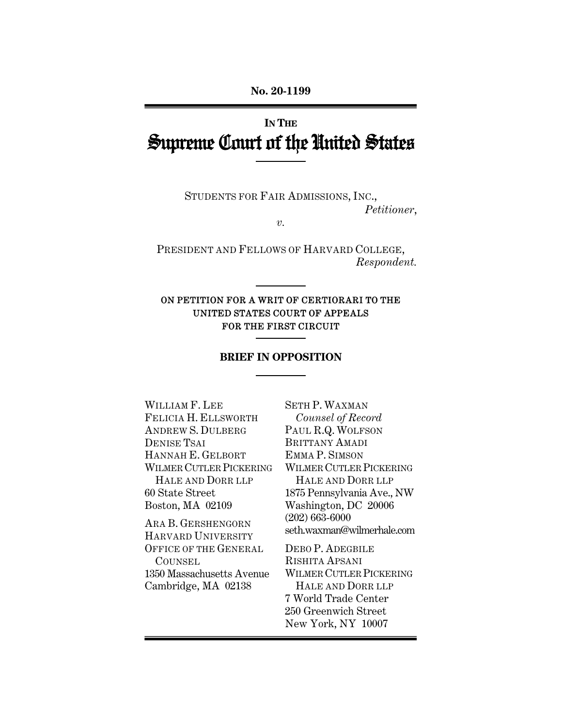# **IN THE** Supreme Court of the United States

STUDENTS FOR FAIR ADMISSIONS, INC., *Petitioner*,

*v.* 

PRESIDENT AND FELLOWS OF HARVARD COLLEGE, *Respondent.* 

### ON PETITION FOR A WRIT OF CERTIORARI TO THE UNITED STATES COURT OF APPEALS FOR THE FIRST CIRCUIT

#### **BRIEF IN OPPOSITION**

WILLIAM F. LEE FELICIA H. ELLSWORTH ANDREW S. DULBERG DENISE TSAI HANNAH E. GELBORT WILMER CUTLER PICKERING HALE AND DORR LLP 60 State Street Boston, MA 02109 ARA B. GERSHENGORN HARVARD UNIVERSITY OFFICE OF THE GENERAL **COUNSEL** 1350 Massachusetts Avenue

Cambridge, MA 02138

SETH P. WAXMAN *Counsel of Record* PAUL R.Q. WOLFSON BRITTANY AMADI EMMA P. SIMSON WILMER CUTLER PICKERING HALE AND DORR LLP 1875 Pennsylvania Ave., NW Washington, DC 20006 (202) 663-6000 seth.waxman@wilmerhale.com

DEBO P. ADEGBILE RISHITA APSANI WILMER CUTLER PICKERING HALE AND DORR LLP 7 World Trade Center 250 Greenwich Street New York, NY 10007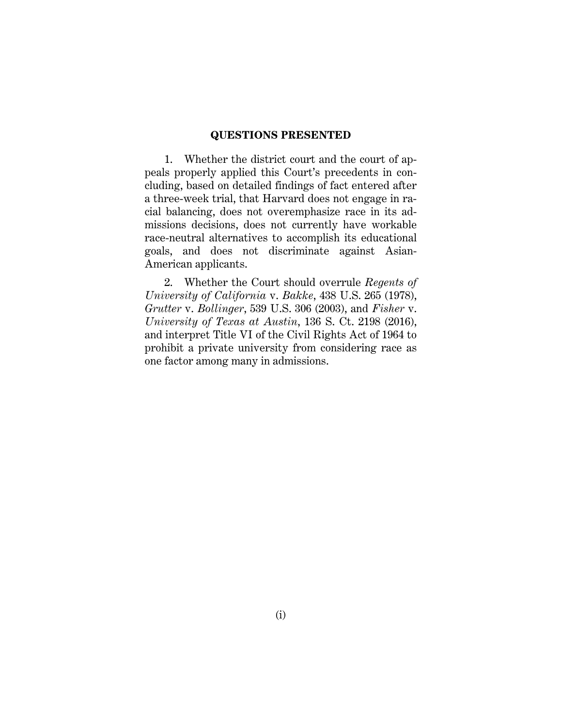#### **QUESTIONS PRESENTED**

1. Whether the district court and the court of appeals properly applied this Court's precedents in concluding, based on detailed findings of fact entered after a three-week trial, that Harvard does not engage in racial balancing, does not overemphasize race in its admissions decisions, does not currently have workable race-neutral alternatives to accomplish its educational goals, and does not discriminate against Asian-American applicants.

2. Whether the Court should overrule *Regents of University of California* v. *Bakke*, 438 U.S. 265 (1978), *Grutter* v. *Bollinger*, 539 U.S. 306 (2003), and *Fisher* v. *University of Texas at Austin*, 136 S. Ct. 2198 (2016), and interpret Title VI of the Civil Rights Act of 1964 to prohibit a private university from considering race as one factor among many in admissions.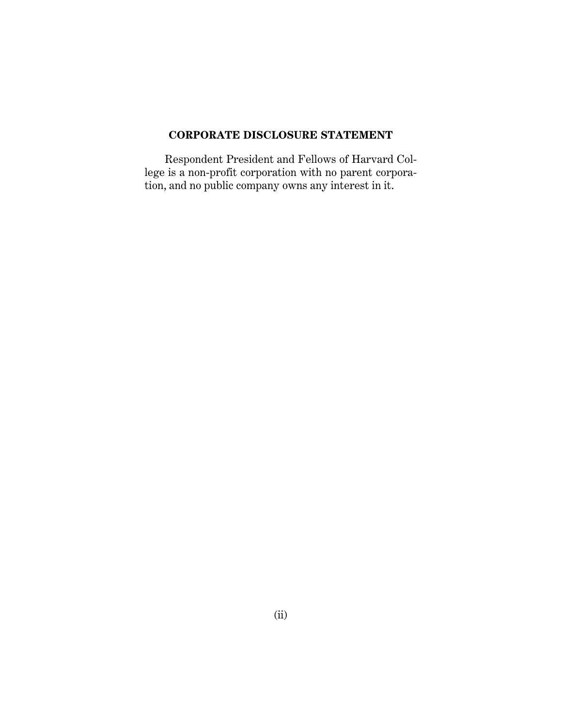## **CORPORATE DISCLOSURE STATEMENT**

Respondent President and Fellows of Harvard College is a non-profit corporation with no parent corporation, and no public company owns any interest in it.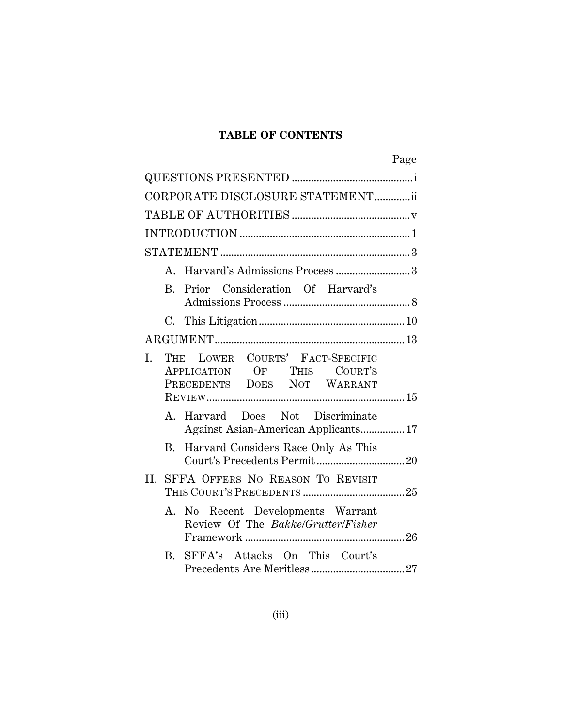# **TABLE OF CONTENTS**

|     |    |                                                                                               | Page |
|-----|----|-----------------------------------------------------------------------------------------------|------|
|     |    |                                                                                               |      |
|     |    | CORPORATE DISCLOSURE STATEMENTii                                                              |      |
|     |    |                                                                                               |      |
|     |    |                                                                                               |      |
|     |    |                                                                                               |      |
|     |    | A. Harvard's Admissions Process 3                                                             |      |
|     |    | B. Prior Consideration Of Harvard's                                                           |      |
|     |    |                                                                                               |      |
|     |    |                                                                                               |      |
| I.  |    | THE LOWER COURTS' FACT-SPECIFIC<br>APPLICATION OF THIS COURT'S<br>PRECEDENTS DOES NOT WARRANT |      |
|     |    | A. Harvard Does Not Discriminate<br>Against Asian-American Applicants 17                      |      |
|     | B. | Harvard Considers Race Only As This                                                           |      |
| II. |    | SFFA OFFERS NO REASON TO REVISIT                                                              |      |
|     | А. | No Recent Developments Warrant<br>Review Of The Bakke/Grutter/Fisher                          |      |
|     | B. | SFFA's Attacks On This Court's                                                                |      |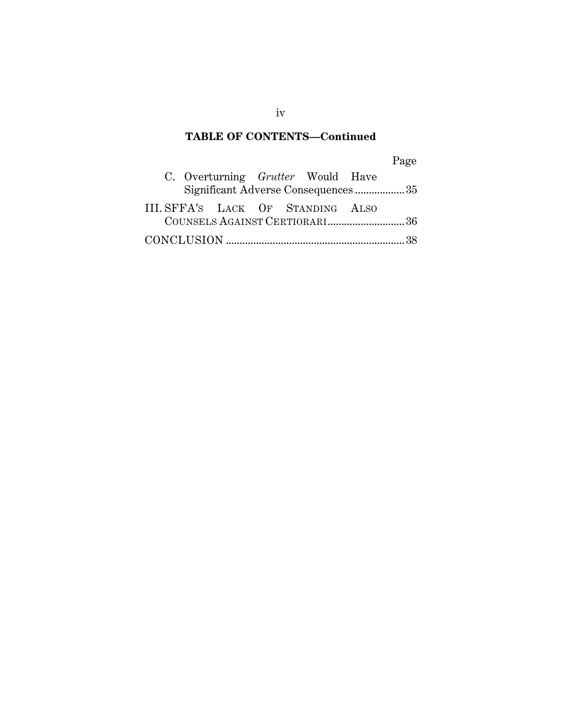# **TABLE OF CONTENTS—Continued**

# Page

|  |  | C. Overturning <i>Grutter</i> Would Have |                                    |
|--|--|------------------------------------------|------------------------------------|
|  |  |                                          | Significant Adverse Consequences35 |
|  |  | III. SFFA'S LACK OF STANDING ALSO        |                                    |
|  |  |                                          | COUNSELS AGAINST CERTIORARI36      |
|  |  |                                          |                                    |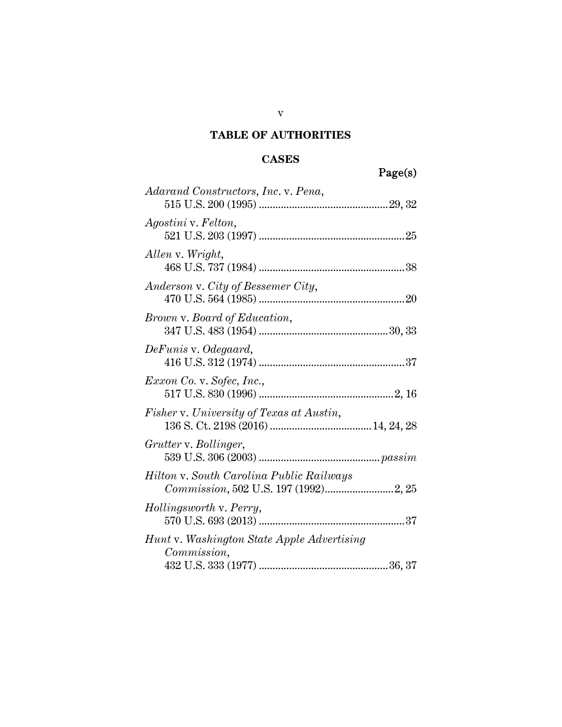# **TABLE OF AUTHORITIES**

# **CASES**

|                                                                                  | Page(s) |
|----------------------------------------------------------------------------------|---------|
| Adarand Constructors, Inc. v. Pena,                                              |         |
| Agostini v. Felton,                                                              |         |
| Allen v. Wright,                                                                 |         |
| Anderson v. City of Bessemer City,                                               |         |
| <i>Brown v. Board of Education,</i>                                              |         |
| DeFunis v. Odegaard,                                                             |         |
| Exxon Co. v. Sofec, Inc.,                                                        |         |
| Fisher v. University of Texas at Austin,                                         |         |
| Grutter v. Bollinger,                                                            |         |
| Hilton v. South Carolina Public Railways<br>Commission, 502 U.S. 197 (1992)2, 25 |         |
| Hollingsworth v. Perry,                                                          |         |
| Hunt v. Washington State Apple Advertising<br>Commission,                        |         |
|                                                                                  |         |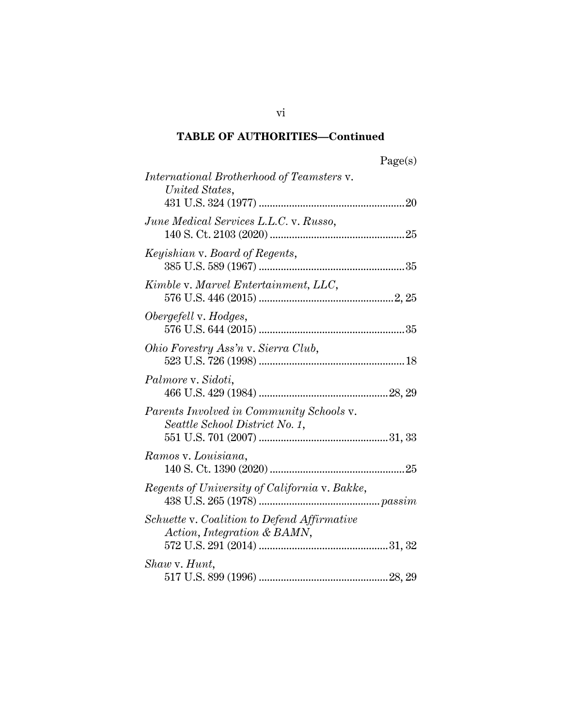# **TABLE OF AUTHORITIES—Continued**

| <i>International Brotherhood of Teamsters v.</i><br>United States,         |
|----------------------------------------------------------------------------|
|                                                                            |
| June Medical Services L.L.C. v. Russo,                                     |
| Keyishian v. Board of Regents,                                             |
| Kimble v. Marvel Entertainment, LLC,                                       |
| Obergefell v. Hodges,                                                      |
| Ohio Forestry Ass'n v. Sierra Club,                                        |
| Palmore v. Sidoti,                                                         |
| Parents Involved in Community Schools v.<br>Seattle School District No. 1, |
| Ramos v. Louisiana,                                                        |
| Regents of University of California v. Bakke,                              |
| Schuette v. Coalition to Defend Affirmative<br>Action, Integration & BAMN, |
| Shaw v. Hunt,                                                              |

vi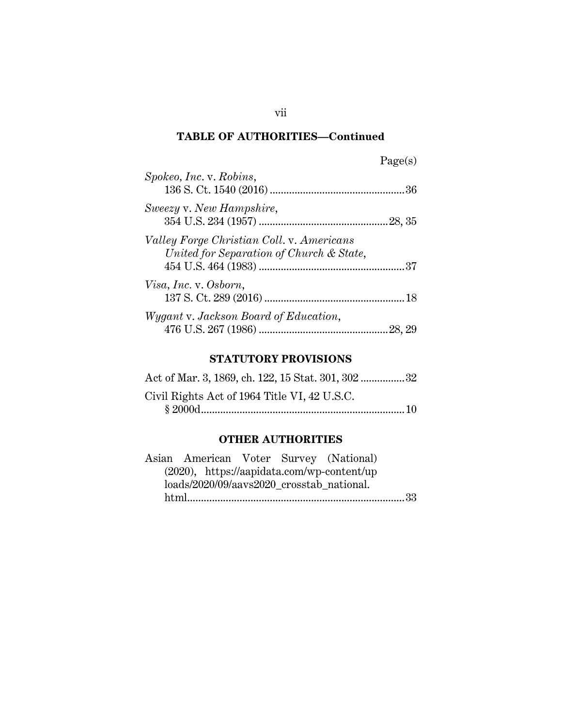# **TABLE OF AUTHORITIES—Continued**

| Spokeo, Inc. v. Robins,                                                               |        |
|---------------------------------------------------------------------------------------|--------|
| Sweezy v. New Hampshire,                                                              |        |
| Valley Forge Christian Coll. v. Americans<br>United for Separation of Church & State, |        |
| Visa, Inc. v. Osborn,                                                                 |        |
| Wygant v. Jackson Board of Education,                                                 | 28, 29 |

# **STATUTORY PROVISIONS**

| Act of Mar. 3, 1869, ch. 122, 15 Stat. 301, 302 32 |  |
|----------------------------------------------------|--|
| Civil Rights Act of 1964 Title VI, 42 U.S.C.       |  |
|                                                    |  |

# **OTHER AUTHORITIES**

| Asian American Voter Survey (National)        |  |  |
|-----------------------------------------------|--|--|
| $(2020)$ , https://aapidata.com/wp-content/up |  |  |
| loads/2020/09/aavs2020_crosstab_national.     |  |  |
|                                               |  |  |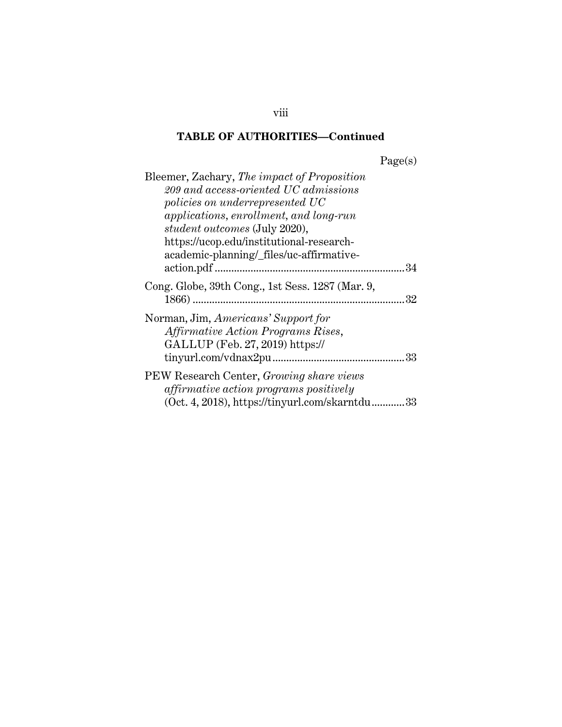# **TABLE OF AUTHORITIES—Continued**

| Bleemer, Zachary, The impact of Proposition<br>209 and access-oriented UC admissions<br>policies on underrepresented UC<br><i>applications, enrollment, and long-run</i><br><i>student outcomes</i> (July 2020),<br>https://ucop.edu/institutional-research- |
|--------------------------------------------------------------------------------------------------------------------------------------------------------------------------------------------------------------------------------------------------------------|
| academic-planning/_files/uc-affirmative-                                                                                                                                                                                                                     |
| Cong. Globe, 39th Cong., 1st Sess. 1287 (Mar. 9,<br>32                                                                                                                                                                                                       |
| Norman, Jim, Americans' Support for<br>Affirmative Action Programs Rises,<br>GALLUP (Feb. 27, 2019) https://<br>tiny. 33                                                                                                                                     |
| PEW Research Center, Growing share views<br><i>affirmative action programs positively</i><br>$(Oct. 4, 2018)$ , https://tinyurl.com/skarntdu33                                                                                                               |

viii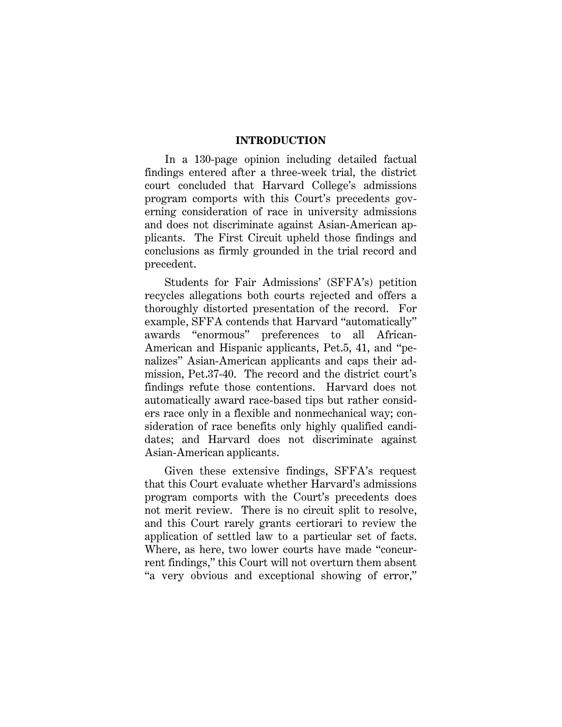#### **INTRODUCTION**

In a 130-page opinion including detailed factual findings entered after a three-week trial, the district court concluded that Harvard College's admissions program comports with this Court's precedents governing consideration of race in university admissions and does not discriminate against Asian-American applicants. The First Circuit upheld those findings and conclusions as firmly grounded in the trial record and precedent.

Students for Fair Admissions' (SFFA's) petition recycles allegations both courts rejected and offers a thoroughly distorted presentation of the record. For example, SFFA contends that Harvard "automatically" awards "enormous" preferences to all African-American and Hispanic applicants, Pet.5, 41, and "penalizes" Asian-American applicants and caps their admission, Pet.37-40. The record and the district court's findings refute those contentions. Harvard does not automatically award race-based tips but rather considers race only in a flexible and nonmechanical way; consideration of race benefits only highly qualified candidates; and Harvard does not discriminate against Asian-American applicants.

Given these extensive findings, SFFA's request that this Court evaluate whether Harvard's admissions program comports with the Court's precedents does not merit review. There is no circuit split to resolve, and this Court rarely grants certiorari to review the application of settled law to a particular set of facts. Where, as here, two lower courts have made "concurrent findings," this Court will not overturn them absent "a very obvious and exceptional showing of error,"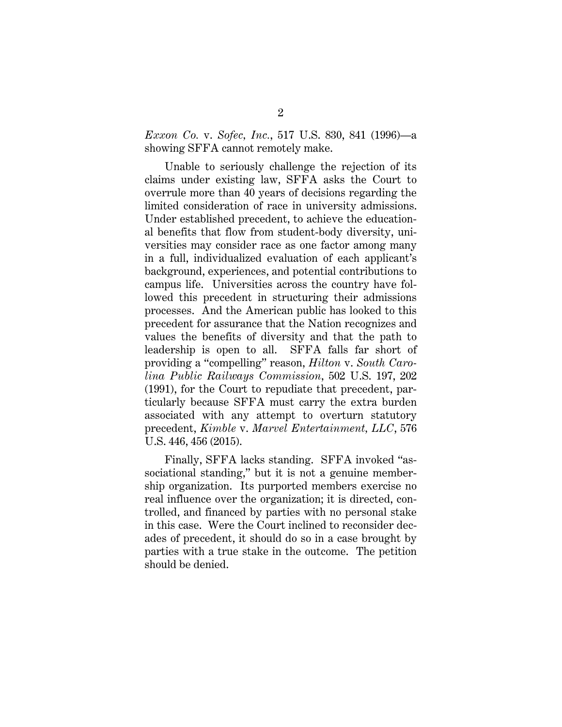*Exxon Co.* v. *Sofec, Inc.*, 517 U.S. 830, 841 (1996)—a showing SFFA cannot remotely make.

Unable to seriously challenge the rejection of its claims under existing law, SFFA asks the Court to overrule more than 40 years of decisions regarding the limited consideration of race in university admissions. Under established precedent, to achieve the educational benefits that flow from student-body diversity, universities may consider race as one factor among many in a full, individualized evaluation of each applicant's background, experiences, and potential contributions to campus life. Universities across the country have followed this precedent in structuring their admissions processes. And the American public has looked to this precedent for assurance that the Nation recognizes and values the benefits of diversity and that the path to leadership is open to all. SFFA falls far short of providing a "compelling" reason, *Hilton* v. *South Carolina Public Railways Commission*, 502 U.S. 197, 202 (1991), for the Court to repudiate that precedent, particularly because SFFA must carry the extra burden associated with any attempt to overturn statutory precedent, *Kimble* v. *Marvel Entertainment, LLC*, 576 U.S. 446, 456 (2015).

Finally, SFFA lacks standing. SFFA invoked "associational standing," but it is not a genuine membership organization. Its purported members exercise no real influence over the organization; it is directed, controlled, and financed by parties with no personal stake in this case. Were the Court inclined to reconsider decades of precedent, it should do so in a case brought by parties with a true stake in the outcome. The petition should be denied.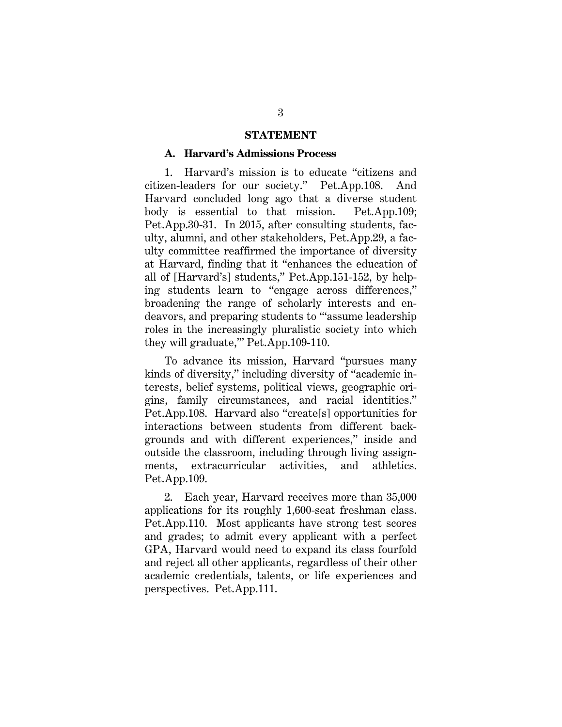#### **STATEMENT**

#### **A. Harvard's Admissions Process**

1. Harvard's mission is to educate "citizens and citizen-leaders for our society." Pet.App.108. And Harvard concluded long ago that a diverse student body is essential to that mission. Pet.App.109; Pet.App.30-31. In 2015, after consulting students, faculty, alumni, and other stakeholders, Pet.App.29, a faculty committee reaffirmed the importance of diversity at Harvard, finding that it "enhances the education of all of [Harvard's] students," Pet.App.151-152, by helping students learn to "engage across differences," broadening the range of scholarly interests and endeavors, and preparing students to "'assume leadership roles in the increasingly pluralistic society into which they will graduate,'" Pet.App.109-110.

To advance its mission, Harvard "pursues many kinds of diversity," including diversity of "academic interests, belief systems, political views, geographic origins, family circumstances, and racial identities." Pet.App.108. Harvard also "create[s] opportunities for interactions between students from different backgrounds and with different experiences," inside and outside the classroom, including through living assignments, extracurricular activities, and athletics. Pet.App.109.

2. Each year, Harvard receives more than 35,000 applications for its roughly 1,600-seat freshman class. Pet.App.110. Most applicants have strong test scores and grades; to admit every applicant with a perfect GPA, Harvard would need to expand its class fourfold and reject all other applicants, regardless of their other academic credentials, talents, or life experiences and perspectives. Pet.App.111.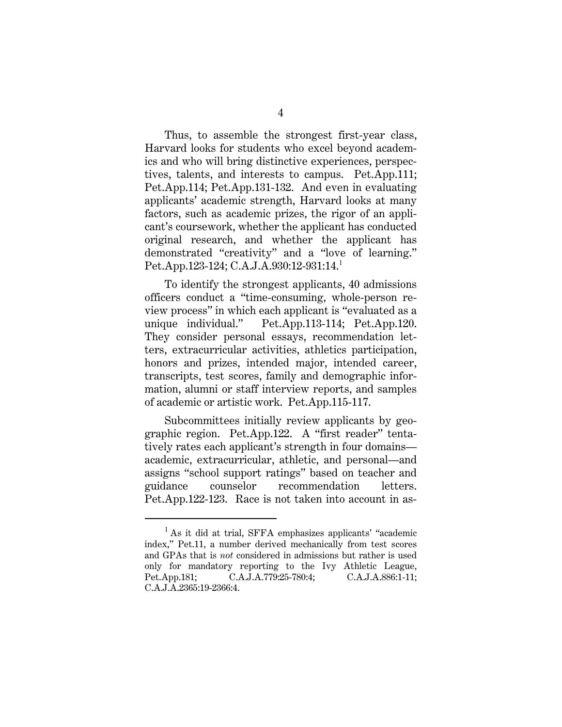Thus, to assemble the strongest first-year class, Harvard looks for students who excel beyond academics and who will bring distinctive experiences, perspectives, talents, and interests to campus. Pet.App.111; Pet.App.114; Pet.App.131-132. And even in evaluating applicants' academic strength, Harvard looks at many factors, such as academic prizes, the rigor of an applicant's coursework, whether the applicant has conducted original research, and whether the applicant has demonstrated "creativity" and a "love of learning." Pet.App.123-124; C.A.J.A.930:12-931:14.<sup>1</sup>

To identify the strongest applicants, 40 admissions officers conduct a "time-consuming, whole-person review process" in which each applicant is "evaluated as a unique individual." Pet.App.113-114; Pet.App.120. They consider personal essays, recommendation letters, extracurricular activities, athletics participation, honors and prizes, intended major, intended career, transcripts, test scores, family and demographic information, alumni or staff interview reports, and samples of academic or artistic work. Pet.App.115-117.

Subcommittees initially review applicants by geographic region. Pet.App.122. A "first reader" tentatively rates each applicant's strength in four domains academic, extracurricular, athletic, and personal—and assigns "school support ratings" based on teacher and guidance counselor recommendation letters. Pet.App.122-123. Race is not taken into account in as-

<sup>&</sup>lt;sup>1</sup> As it did at trial, SFFA emphasizes applicants' "academic" index," Pet.11, a number derived mechanically from test scores and GPAs that is *not* considered in admissions but rather is used only for mandatory reporting to the Ivy Athletic League, Pet.App.181; C.A.J.A.779:25-780:4; C.A.J.A.886:1-11; C.A.J.A.2365:19-2366:4.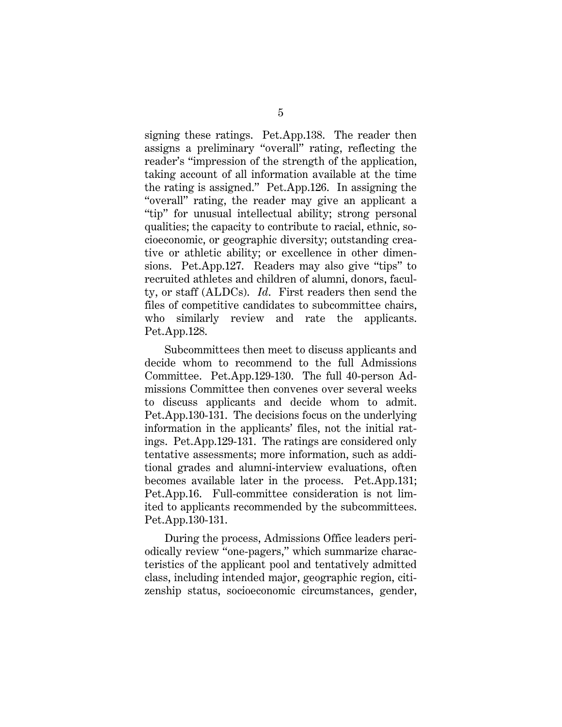signing these ratings. Pet.App.138. The reader then assigns a preliminary "overall" rating, reflecting the reader's "impression of the strength of the application, taking account of all information available at the time the rating is assigned." Pet.App.126. In assigning the "overall" rating, the reader may give an applicant a "tip" for unusual intellectual ability; strong personal qualities; the capacity to contribute to racial, ethnic, socioeconomic, or geographic diversity; outstanding creative or athletic ability; or excellence in other dimensions. Pet.App.127. Readers may also give "tips" to recruited athletes and children of alumni, donors, faculty, or staff (ALDCs). *Id*. First readers then send the files of competitive candidates to subcommittee chairs, who similarly review and rate the applicants. Pet.App.128.

Subcommittees then meet to discuss applicants and decide whom to recommend to the full Admissions Committee. Pet.App.129-130. The full 40-person Admissions Committee then convenes over several weeks to discuss applicants and decide whom to admit. Pet.App.130-131. The decisions focus on the underlying information in the applicants' files, not the initial ratings. Pet.App.129-131. The ratings are considered only tentative assessments; more information, such as additional grades and alumni-interview evaluations, often becomes available later in the process. Pet.App.131; Pet.App.16. Full-committee consideration is not limited to applicants recommended by the subcommittees. Pet.App.130-131.

During the process, Admissions Office leaders periodically review "one-pagers," which summarize characteristics of the applicant pool and tentatively admitted class, including intended major, geographic region, citizenship status, socioeconomic circumstances, gender,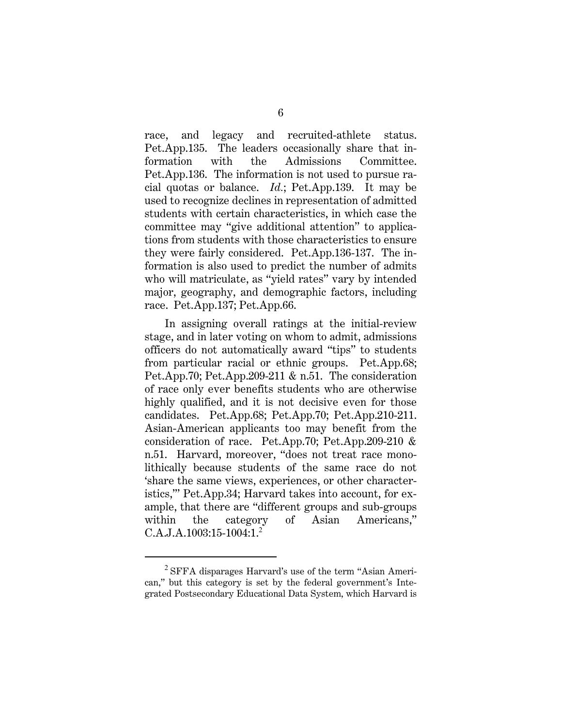race, and legacy and recruited-athlete status. Pet.App.135. The leaders occasionally share that information with the Admissions Committee. Pet.App.136. The information is not used to pursue racial quotas or balance. *Id.*; Pet.App.139. It may be used to recognize declines in representation of admitted students with certain characteristics, in which case the committee may "give additional attention" to applications from students with those characteristics to ensure they were fairly considered. Pet.App.136-137. The information is also used to predict the number of admits who will matriculate, as "yield rates" vary by intended major, geography, and demographic factors, including race. Pet.App.137; Pet.App.66.

In assigning overall ratings at the initial-review stage, and in later voting on whom to admit, admissions officers do not automatically award "tips" to students from particular racial or ethnic groups. Pet.App.68; Pet.App.70; Pet.App.209-211 & n.51. The consideration of race only ever benefits students who are otherwise highly qualified, and it is not decisive even for those candidates. Pet.App.68; Pet.App.70; Pet.App.210-211. Asian-American applicants too may benefit from the consideration of race. Pet.App.70; Pet.App.209-210 & n.51. Harvard, moreover, "does not treat race monolithically because students of the same race do not 'share the same views, experiences, or other characteristics,'" Pet.App.34; Harvard takes into account, for example, that there are "different groups and sub-groups within the category of Asian Americans," C.A.J.A.1003:15-1004:1.<sup>2</sup>

<sup>2</sup> SFFA disparages Harvard's use of the term "Asian American," but this category is set by the federal government's Integrated Postsecondary Educational Data System, which Harvard is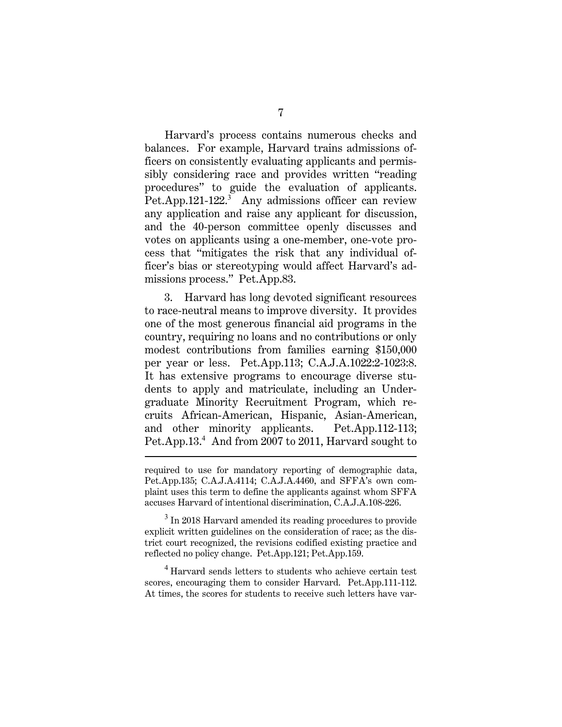Harvard's process contains numerous checks and balances. For example, Harvard trains admissions officers on consistently evaluating applicants and permissibly considering race and provides written "reading procedures" to guide the evaluation of applicants. Pet.App.121-122.<sup>3</sup> Any admissions officer can review any application and raise any applicant for discussion, and the 40-person committee openly discusses and votes on applicants using a one-member, one-vote process that "mitigates the risk that any individual officer's bias or stereotyping would affect Harvard's admissions process." Pet.App.83.

3. Harvard has long devoted significant resources to race-neutral means to improve diversity. It provides one of the most generous financial aid programs in the country, requiring no loans and no contributions or only modest contributions from families earning \$150,000 per year or less. Pet.App.113; C.A.J.A.1022:2-1023:8. It has extensive programs to encourage diverse students to apply and matriculate, including an Undergraduate Minority Recruitment Program, which recruits African-American, Hispanic, Asian-American, and other minority applicants. Pet.App.112-113; Pet.App.13.<sup>4</sup> And from 2007 to 2011, Harvard sought to

<sup>4</sup> Harvard sends letters to students who achieve certain test scores, encouraging them to consider Harvard. Pet.App.111-112. At times, the scores for students to receive such letters have var-

required to use for mandatory reporting of demographic data, Pet.App.135; C.A.J.A.4114; C.A.J.A.4460, and SFFA's own complaint uses this term to define the applicants against whom SFFA accuses Harvard of intentional discrimination, C.A.J.A.108-226.

<sup>&</sup>lt;sup>3</sup> In 2018 Harvard amended its reading procedures to provide explicit written guidelines on the consideration of race; as the district court recognized, the revisions codified existing practice and reflected no policy change. Pet.App.121; Pet.App.159.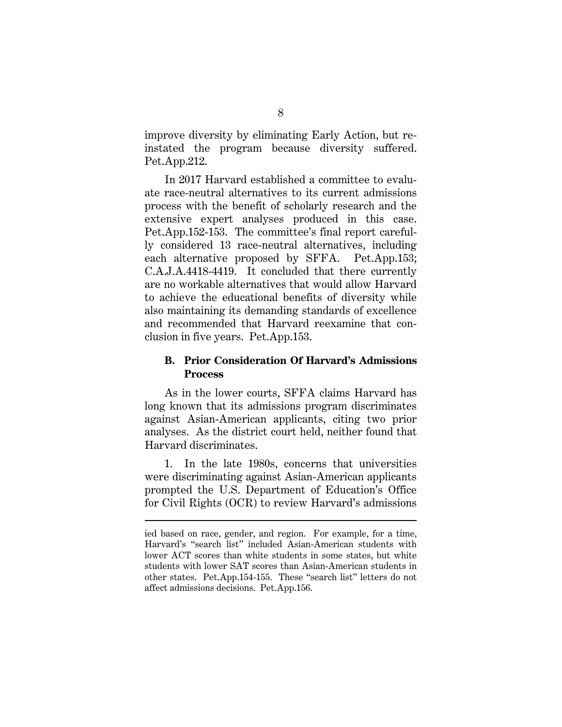improve diversity by eliminating Early Action, but reinstated the program because diversity suffered. Pet.App.212.

In 2017 Harvard established a committee to evaluate race-neutral alternatives to its current admissions process with the benefit of scholarly research and the extensive expert analyses produced in this case. Pet.App.152-153. The committee's final report carefully considered 13 race-neutral alternatives, including each alternative proposed by SFFA. Pet.App.153; C.A.J.A.4418-4419. It concluded that there currently are no workable alternatives that would allow Harvard to achieve the educational benefits of diversity while also maintaining its demanding standards of excellence and recommended that Harvard reexamine that conclusion in five years. Pet.App.153.

### **B. Prior Consideration Of Harvard's Admissions Process**

As in the lower courts, SFFA claims Harvard has long known that its admissions program discriminates against Asian-American applicants, citing two prior analyses. As the district court held, neither found that Harvard discriminates.

1. In the late 1980s, concerns that universities were discriminating against Asian-American applicants prompted the U.S. Department of Education's Office for Civil Rights (OCR) to review Harvard's admissions

ied based on race, gender, and region. For example, for a time, Harvard's "search list" included Asian-American students with lower ACT scores than white students in some states, but white students with lower SAT scores than Asian-American students in other states. Pet.App.154-155. These "search list" letters do not affect admissions decisions. Pet.App.156.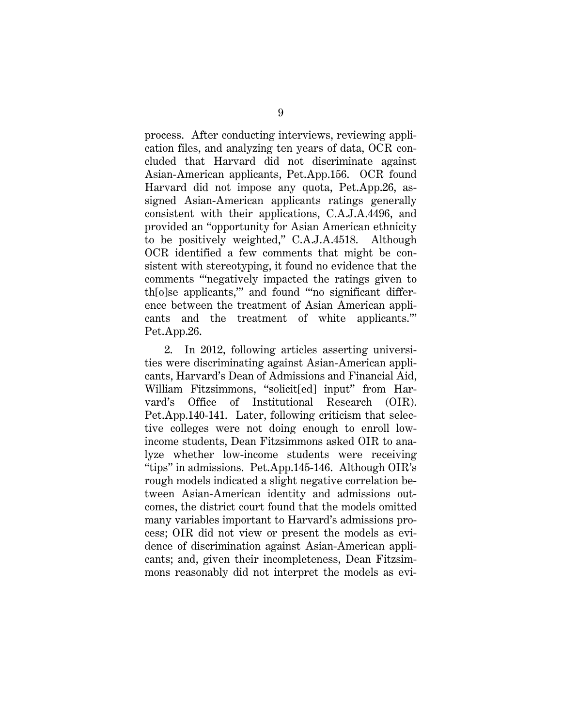process. After conducting interviews, reviewing application files, and analyzing ten years of data, OCR concluded that Harvard did not discriminate against Asian-American applicants, Pet.App.156. OCR found Harvard did not impose any quota, Pet.App.26, assigned Asian-American applicants ratings generally consistent with their applications, C.A.J.A.4496, and provided an "opportunity for Asian American ethnicity to be positively weighted," C.A.J.A.4518. Although OCR identified a few comments that might be consistent with stereotyping, it found no evidence that the comments "'negatively impacted the ratings given to th[o]se applicants,'" and found "'no significant difference between the treatment of Asian American applicants and the treatment of white applicants.'" Pet.App.26.

2. In 2012, following articles asserting universities were discriminating against Asian-American applicants, Harvard's Dean of Admissions and Financial Aid, William Fitzsimmons, "solicit[ed] input" from Harvard's Office of Institutional Research (OIR). Pet.App.140-141. Later, following criticism that selective colleges were not doing enough to enroll lowincome students, Dean Fitzsimmons asked OIR to analyze whether low-income students were receiving "tips" in admissions. Pet.App.145-146. Although OIR's rough models indicated a slight negative correlation between Asian-American identity and admissions outcomes, the district court found that the models omitted many variables important to Harvard's admissions process; OIR did not view or present the models as evidence of discrimination against Asian-American applicants; and, given their incompleteness, Dean Fitzsimmons reasonably did not interpret the models as evi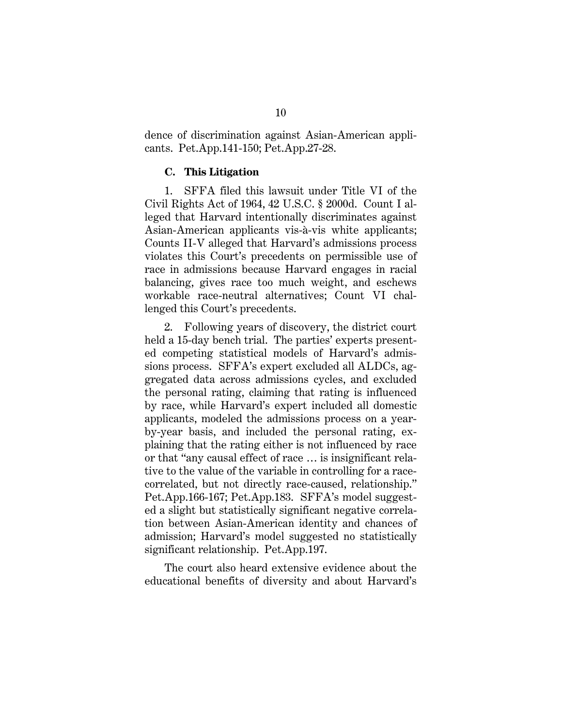dence of discrimination against Asian-American applicants. Pet.App.141-150; Pet.App.27-28.

#### **C. This Litigation**

1. SFFA filed this lawsuit under Title VI of the Civil Rights Act of 1964, 42 U.S.C. § 2000d. Count I alleged that Harvard intentionally discriminates against Asian-American applicants vis-à-vis white applicants; Counts II-V alleged that Harvard's admissions process violates this Court's precedents on permissible use of race in admissions because Harvard engages in racial balancing, gives race too much weight, and eschews workable race-neutral alternatives; Count VI challenged this Court's precedents.

2. Following years of discovery, the district court held a 15-day bench trial. The parties' experts presented competing statistical models of Harvard's admissions process. SFFA's expert excluded all ALDCs, aggregated data across admissions cycles, and excluded the personal rating, claiming that rating is influenced by race, while Harvard's expert included all domestic applicants, modeled the admissions process on a yearby-year basis, and included the personal rating, explaining that the rating either is not influenced by race or that "any causal effect of race … is insignificant relative to the value of the variable in controlling for a racecorrelated, but not directly race-caused, relationship." Pet.App.166-167; Pet.App.183. SFFA's model suggested a slight but statistically significant negative correlation between Asian-American identity and chances of admission; Harvard's model suggested no statistically significant relationship. Pet.App.197.

The court also heard extensive evidence about the educational benefits of diversity and about Harvard's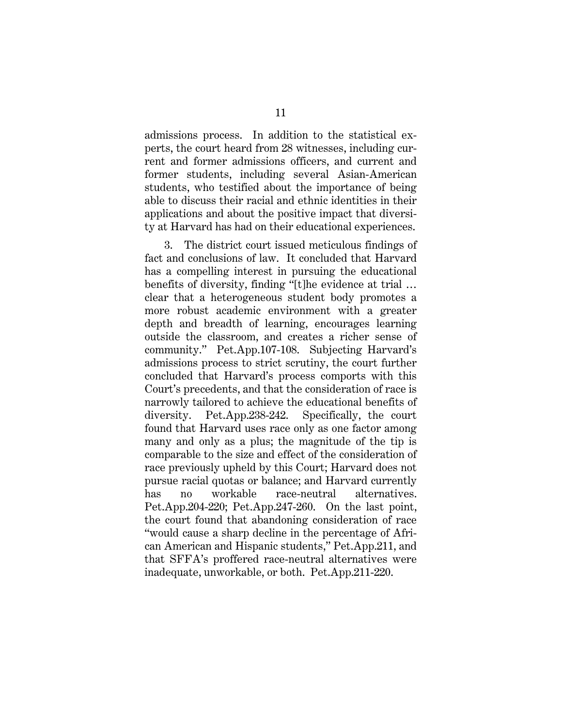admissions process. In addition to the statistical experts, the court heard from 28 witnesses, including current and former admissions officers, and current and former students, including several Asian-American students, who testified about the importance of being able to discuss their racial and ethnic identities in their applications and about the positive impact that diversity at Harvard has had on their educational experiences.

3. The district court issued meticulous findings of fact and conclusions of law. It concluded that Harvard has a compelling interest in pursuing the educational benefits of diversity, finding "[t]he evidence at trial … clear that a heterogeneous student body promotes a more robust academic environment with a greater depth and breadth of learning, encourages learning outside the classroom, and creates a richer sense of community." Pet.App.107-108. Subjecting Harvard's admissions process to strict scrutiny, the court further concluded that Harvard's process comports with this Court's precedents, and that the consideration of race is narrowly tailored to achieve the educational benefits of diversity. Pet.App.238-242. Specifically, the court found that Harvard uses race only as one factor among many and only as a plus; the magnitude of the tip is comparable to the size and effect of the consideration of race previously upheld by this Court; Harvard does not pursue racial quotas or balance; and Harvard currently has no workable race-neutral alternatives. Pet.App.204-220; Pet.App.247-260. On the last point, the court found that abandoning consideration of race "would cause a sharp decline in the percentage of African American and Hispanic students," Pet.App.211, and that SFFA's proffered race-neutral alternatives were inadequate, unworkable, or both. Pet.App.211-220.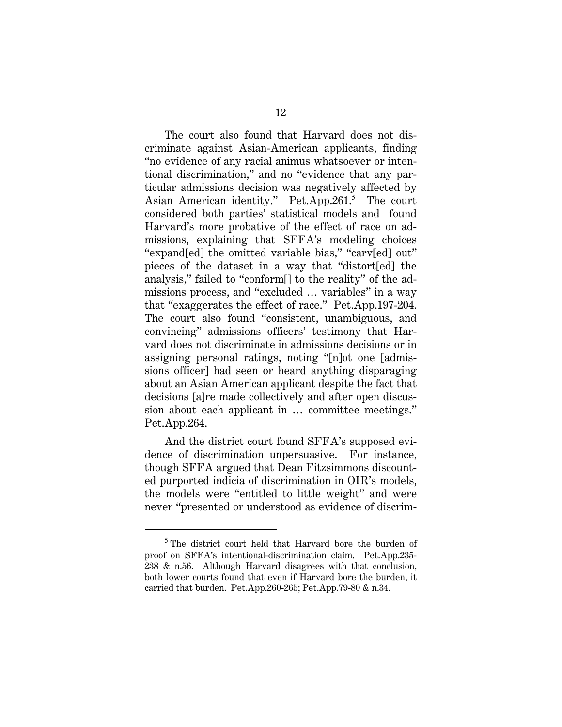The court also found that Harvard does not discriminate against Asian-American applicants, finding "no evidence of any racial animus whatsoever or intentional discrimination," and no "evidence that any particular admissions decision was negatively affected by Asian American identity." Pet.App.261.<sup>5</sup> The court considered both parties' statistical models and found Harvard's more probative of the effect of race on admissions, explaining that SFFA's modeling choices "expand[ed] the omitted variable bias," "carv[ed] out" pieces of the dataset in a way that "distort[ed] the analysis," failed to "conform[] to the reality" of the admissions process, and "excluded … variables" in a way that "exaggerates the effect of race." Pet.App.197-204. The court also found "consistent, unambiguous, and convincing" admissions officers' testimony that Harvard does not discriminate in admissions decisions or in assigning personal ratings, noting "[n]ot one [admissions officer] had seen or heard anything disparaging about an Asian American applicant despite the fact that decisions [a]re made collectively and after open discussion about each applicant in … committee meetings." Pet.App.264.

And the district court found SFFA's supposed evidence of discrimination unpersuasive. For instance, though SFFA argued that Dean Fitzsimmons discounted purported indicia of discrimination in OIR's models, the models were "entitled to little weight" and were never "presented or understood as evidence of discrim-

<sup>&</sup>lt;sup>5</sup> The district court held that Harvard bore the burden of proof on SFFA's intentional-discrimination claim. Pet.App.235- 238 & n.56. Although Harvard disagrees with that conclusion, both lower courts found that even if Harvard bore the burden, it carried that burden. Pet.App.260-265; Pet.App.79-80 & n.34.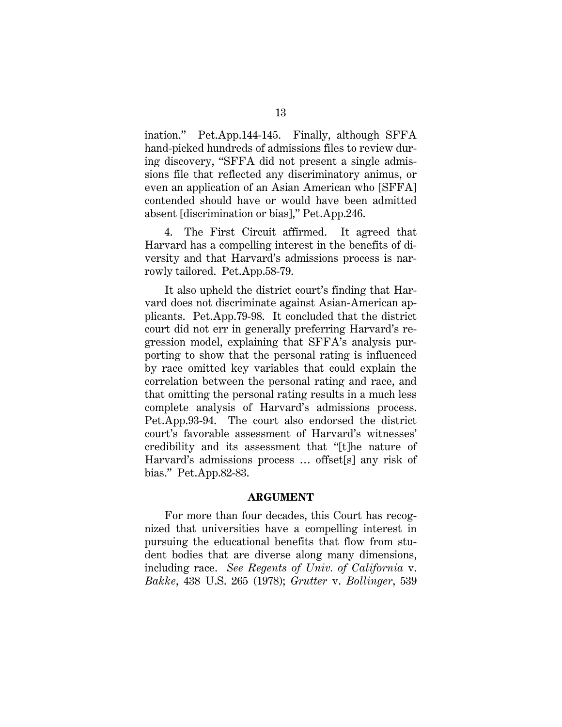ination." Pet.App.144-145. Finally, although SFFA hand-picked hundreds of admissions files to review during discovery, "SFFA did not present a single admissions file that reflected any discriminatory animus, or even an application of an Asian American who [SFFA] contended should have or would have been admitted absent [discrimination or bias]," Pet.App.246.

4. The First Circuit affirmed. It agreed that Harvard has a compelling interest in the benefits of diversity and that Harvard's admissions process is narrowly tailored. Pet.App.58-79.

It also upheld the district court's finding that Harvard does not discriminate against Asian-American applicants. Pet.App.79-98. It concluded that the district court did not err in generally preferring Harvard's regression model, explaining that SFFA's analysis purporting to show that the personal rating is influenced by race omitted key variables that could explain the correlation between the personal rating and race, and that omitting the personal rating results in a much less complete analysis of Harvard's admissions process. Pet.App.93-94. The court also endorsed the district court's favorable assessment of Harvard's witnesses' credibility and its assessment that "[t]he nature of Harvard's admissions process … offset[s] any risk of bias." Pet.App.82-83.

#### **ARGUMENT**

For more than four decades, this Court has recognized that universities have a compelling interest in pursuing the educational benefits that flow from student bodies that are diverse along many dimensions, including race. *See Regents of Univ. of California* v. *Bakke*, 438 U.S. 265 (1978); *Grutter* v. *Bollinger*, 539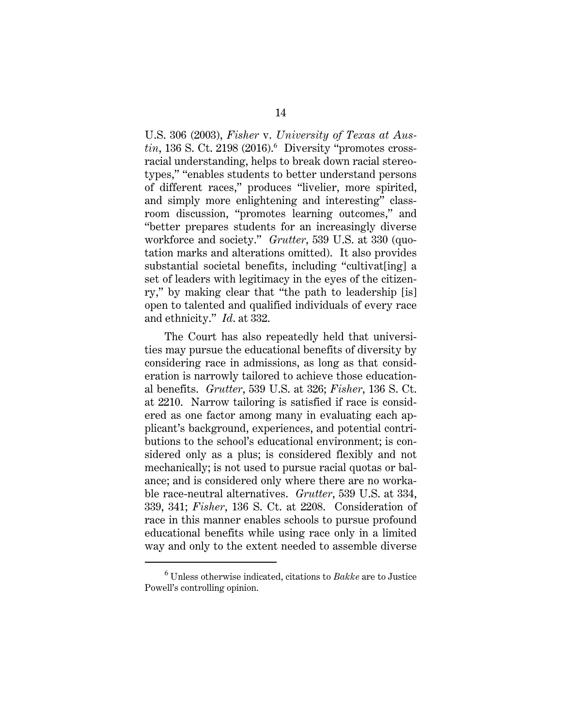U.S. 306 (2003), *Fisher* v. *University of Texas at Austin*, 136 S. Ct. 2198 (2016).<sup>6</sup> Diversity "promotes crossracial understanding, helps to break down racial stereotypes," "enables students to better understand persons of different races," produces "livelier, more spirited, and simply more enlightening and interesting" classroom discussion, "promotes learning outcomes," and "better prepares students for an increasingly diverse workforce and society." *Grutter*, 539 U.S. at 330 (quotation marks and alterations omitted). It also provides substantial societal benefits, including "cultivat[ing] a set of leaders with legitimacy in the eyes of the citizenry," by making clear that "the path to leadership [is] open to talented and qualified individuals of every race and ethnicity." *Id*. at 332.

The Court has also repeatedly held that universities may pursue the educational benefits of diversity by considering race in admissions, as long as that consideration is narrowly tailored to achieve those educational benefits. *Grutter*, 539 U.S. at 326; *Fisher*, 136 S. Ct. at 2210. Narrow tailoring is satisfied if race is considered as one factor among many in evaluating each applicant's background, experiences, and potential contributions to the school's educational environment; is considered only as a plus; is considered flexibly and not mechanically; is not used to pursue racial quotas or balance; and is considered only where there are no workable race-neutral alternatives. *Grutter*, 539 U.S. at 334, 339, 341; *Fisher*, 136 S. Ct. at 2208. Consideration of race in this manner enables schools to pursue profound educational benefits while using race only in a limited way and only to the extent needed to assemble diverse

<sup>6</sup> Unless otherwise indicated, citations to *Bakke* are to Justice Powell's controlling opinion.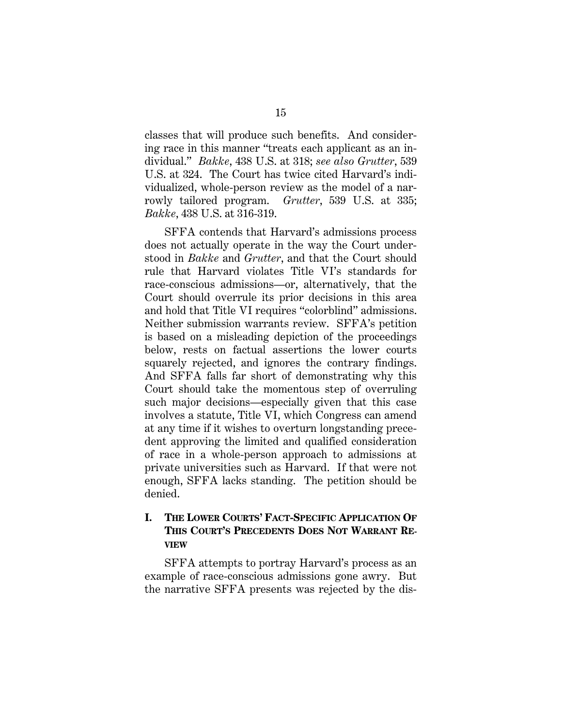classes that will produce such benefits. And considering race in this manner "treats each applicant as an individual." *Bakke*, 438 U.S. at 318; *see also Grutter*, 539 U.S. at 324. The Court has twice cited Harvard's individualized, whole-person review as the model of a narrowly tailored program. *Grutter*, 539 U.S. at 335; *Bakke*, 438 U.S. at 316-319.

SFFA contends that Harvard's admissions process does not actually operate in the way the Court understood in *Bakke* and *Grutter*, and that the Court should rule that Harvard violates Title VI's standards for race-conscious admissions—or, alternatively, that the Court should overrule its prior decisions in this area and hold that Title VI requires "colorblind" admissions. Neither submission warrants review. SFFA's petition is based on a misleading depiction of the proceedings below, rests on factual assertions the lower courts squarely rejected, and ignores the contrary findings. And SFFA falls far short of demonstrating why this Court should take the momentous step of overruling such major decisions—especially given that this case involves a statute, Title VI, which Congress can amend at any time if it wishes to overturn longstanding precedent approving the limited and qualified consideration of race in a whole-person approach to admissions at private universities such as Harvard. If that were not enough, SFFA lacks standing. The petition should be denied.

# **I. THE LOWER COURTS' FACT-SPECIFIC APPLICATION OF THIS COURT'S PRECEDENTS DOES NOT WARRANT RE-VIEW**

SFFA attempts to portray Harvard's process as an example of race-conscious admissions gone awry. But the narrative SFFA presents was rejected by the dis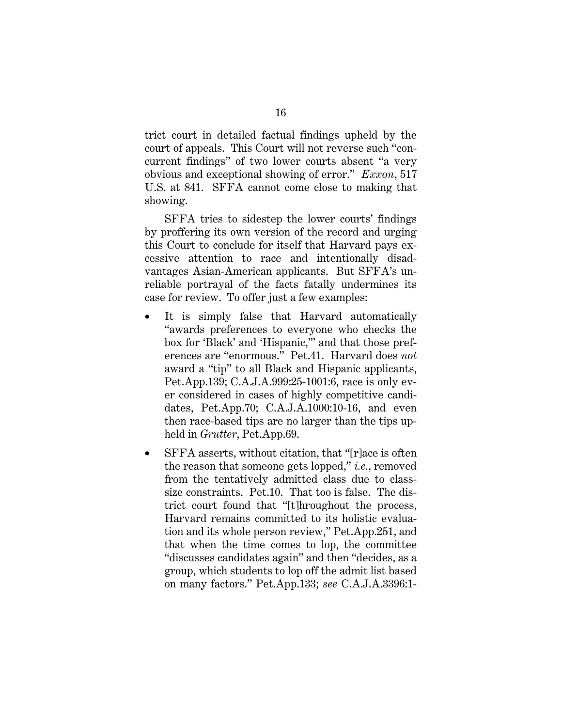trict court in detailed factual findings upheld by the court of appeals. This Court will not reverse such "concurrent findings" of two lower courts absent "a very obvious and exceptional showing of error." *Exxon*, 517 U.S. at 841. SFFA cannot come close to making that showing.

SFFA tries to sidestep the lower courts' findings by proffering its own version of the record and urging this Court to conclude for itself that Harvard pays excessive attention to race and intentionally disadvantages Asian-American applicants. But SFFA's unreliable portrayal of the facts fatally undermines its case for review. To offer just a few examples:

- It is simply false that Harvard automatically "awards preferences to everyone who checks the box for 'Black' and 'Hispanic,'" and that those preferences are "enormous." Pet.41. Harvard does *not* award a "tip" to all Black and Hispanic applicants, Pet.App.139; C.A.J.A.999:25-1001:6, race is only ever considered in cases of highly competitive candidates, Pet.App.70; C.A.J.A.1000:10-16, and even then race-based tips are no larger than the tips upheld in *Grutter*, Pet.App.69.
- SFFA asserts, without citation, that "[r]ace is often the reason that someone gets lopped," *i.e.*, removed from the tentatively admitted class due to classsize constraints. Pet.10. That too is false. The district court found that "[t]hroughout the process, Harvard remains committed to its holistic evaluation and its whole person review," Pet.App.251, and that when the time comes to lop, the committee "discusses candidates again" and then "decides, as a group, which students to lop off the admit list based on many factors." Pet.App.133; *see* C.A.J.A.3396:1-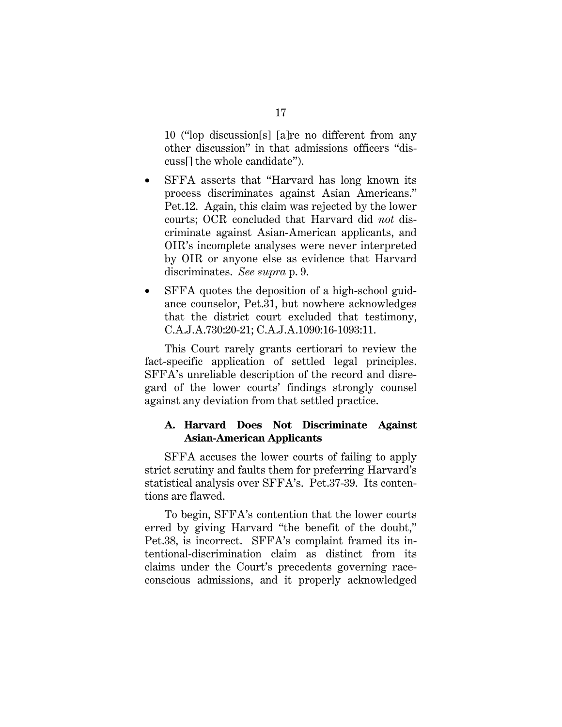10 ("lop discussion[s] [a]re no different from any other discussion" in that admissions officers "discuss[] the whole candidate").

- SFFA asserts that "Harvard has long known its process discriminates against Asian Americans." Pet.12. Again, this claim was rejected by the lower courts; OCR concluded that Harvard did *not* discriminate against Asian-American applicants, and OIR's incomplete analyses were never interpreted by OIR or anyone else as evidence that Harvard discriminates. *See supra* p. 9.
- SFFA quotes the deposition of a high-school guidance counselor, Pet.31, but nowhere acknowledges that the district court excluded that testimony, C.A.J.A.730:20-21; C.A.J.A.1090:16-1093:11.

This Court rarely grants certiorari to review the fact-specific application of settled legal principles. SFFA's unreliable description of the record and disregard of the lower courts' findings strongly counsel against any deviation from that settled practice.

### **A. Harvard Does Not Discriminate Against Asian-American Applicants**

SFFA accuses the lower courts of failing to apply strict scrutiny and faults them for preferring Harvard's statistical analysis over SFFA's. Pet.37-39. Its contentions are flawed.

To begin, SFFA's contention that the lower courts erred by giving Harvard "the benefit of the doubt," Pet.38, is incorrect. SFFA's complaint framed its intentional-discrimination claim as distinct from its claims under the Court's precedents governing raceconscious admissions, and it properly acknowledged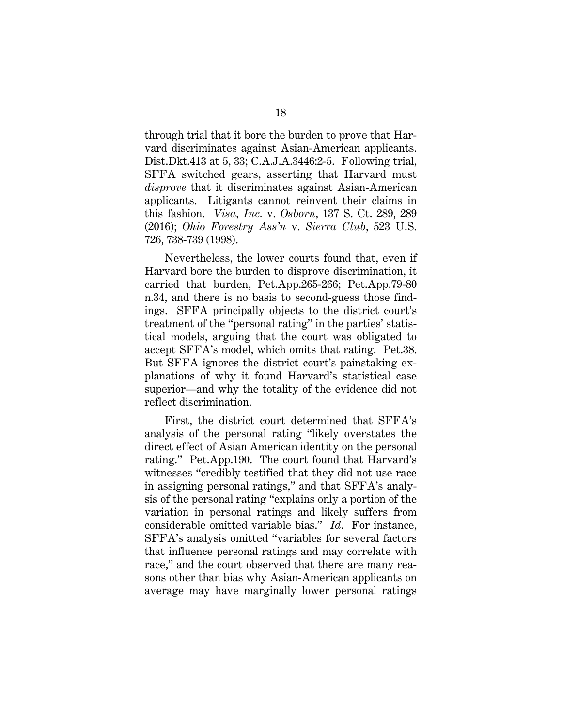through trial that it bore the burden to prove that Harvard discriminates against Asian-American applicants. Dist.Dkt.413 at 5, 33; C.A.J.A.3446:2-5. Following trial, SFFA switched gears, asserting that Harvard must *disprove* that it discriminates against Asian-American applicants. Litigants cannot reinvent their claims in this fashion. *Visa, Inc.* v. *Osborn*, 137 S. Ct. 289, 289 (2016); *Ohio Forestry Ass'n* v. *Sierra Club*, 523 U.S. 726, 738-739 (1998).

Nevertheless, the lower courts found that, even if Harvard bore the burden to disprove discrimination, it carried that burden, Pet.App.265-266; Pet.App.79-80 n.34, and there is no basis to second-guess those findings. SFFA principally objects to the district court's treatment of the "personal rating" in the parties' statistical models, arguing that the court was obligated to accept SFFA's model, which omits that rating. Pet.38. But SFFA ignores the district court's painstaking explanations of why it found Harvard's statistical case superior—and why the totality of the evidence did not reflect discrimination.

First, the district court determined that SFFA's analysis of the personal rating "likely overstates the direct effect of Asian American identity on the personal rating." Pet.App.190. The court found that Harvard's witnesses "credibly testified that they did not use race in assigning personal ratings," and that SFFA's analysis of the personal rating "explains only a portion of the variation in personal ratings and likely suffers from considerable omitted variable bias." *Id*. For instance, SFFA's analysis omitted "variables for several factors that influence personal ratings and may correlate with race," and the court observed that there are many reasons other than bias why Asian-American applicants on average may have marginally lower personal ratings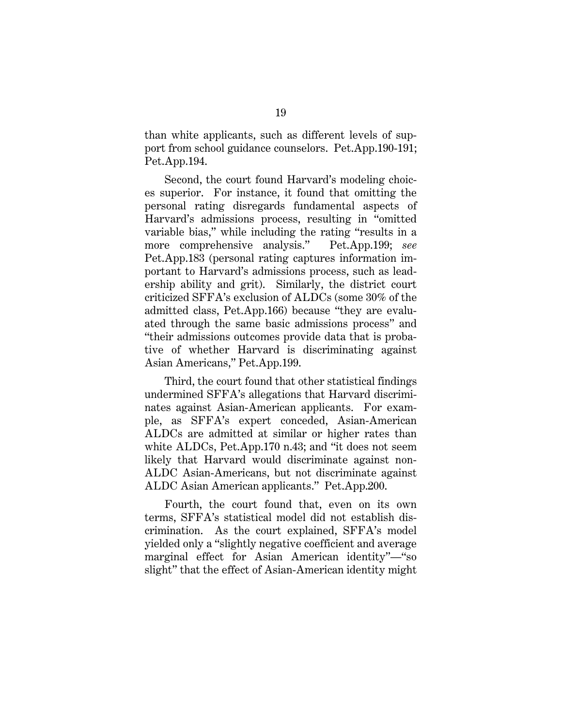than white applicants, such as different levels of support from school guidance counselors. Pet.App.190-191; Pet.App.194.

Second, the court found Harvard's modeling choices superior. For instance, it found that omitting the personal rating disregards fundamental aspects of Harvard's admissions process, resulting in "omitted variable bias," while including the rating "results in a more comprehensive analysis." Pet.App.199; *see* Pet.App.183 (personal rating captures information important to Harvard's admissions process, such as leadership ability and grit). Similarly, the district court criticized SFFA's exclusion of ALDCs (some 30% of the admitted class, Pet.App.166) because "they are evaluated through the same basic admissions process" and "their admissions outcomes provide data that is probative of whether Harvard is discriminating against Asian Americans," Pet.App.199.

Third, the court found that other statistical findings undermined SFFA's allegations that Harvard discriminates against Asian-American applicants. For example, as SFFA's expert conceded, Asian-American ALDCs are admitted at similar or higher rates than white ALDCs, Pet.App.170 n.43; and "it does not seem likely that Harvard would discriminate against non-ALDC Asian-Americans, but not discriminate against ALDC Asian American applicants." Pet.App.200.

Fourth, the court found that, even on its own terms, SFFA's statistical model did not establish discrimination. As the court explained, SFFA's model yielded only a "slightly negative coefficient and average marginal effect for Asian American identity"—"so slight" that the effect of Asian-American identity might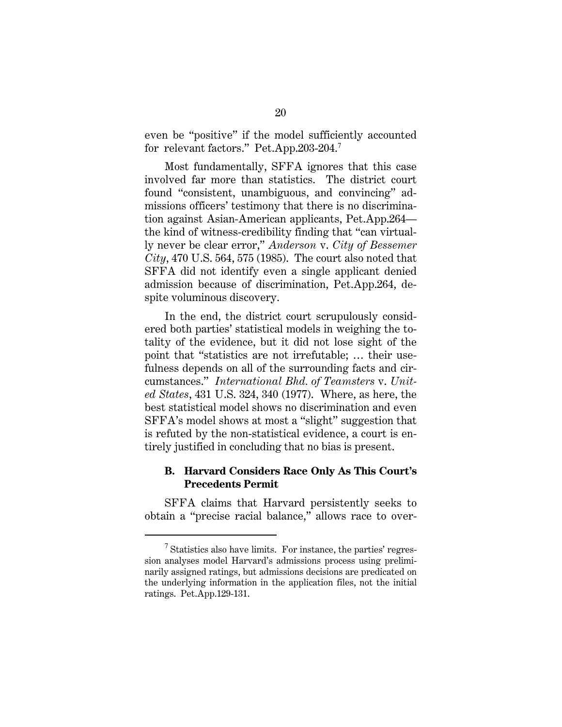even be "positive" if the model sufficiently accounted for relevant factors." Pet.App.203-204.<sup>7</sup>

Most fundamentally, SFFA ignores that this case involved far more than statistics. The district court found "consistent, unambiguous, and convincing" admissions officers' testimony that there is no discrimination against Asian-American applicants, Pet.App.264 the kind of witness-credibility finding that "can virtually never be clear error," *Anderson* v. *City of Bessemer City*, 470 U.S. 564, 575 (1985). The court also noted that SFFA did not identify even a single applicant denied admission because of discrimination, Pet.App.264, despite voluminous discovery.

In the end, the district court scrupulously considered both parties' statistical models in weighing the totality of the evidence, but it did not lose sight of the point that "statistics are not irrefutable; … their usefulness depends on all of the surrounding facts and circumstances." *International Bhd. of Teamsters* v. *United States*, 431 U.S. 324, 340 (1977). Where, as here, the best statistical model shows no discrimination and even SFFA's model shows at most a "slight" suggestion that is refuted by the non-statistical evidence, a court is entirely justified in concluding that no bias is present.

### **B. Harvard Considers Race Only As This Court's Precedents Permit**

SFFA claims that Harvard persistently seeks to obtain a "precise racial balance," allows race to over-

 $<sup>7</sup>$  Statistics also have limits. For instance, the parties' regres-</sup> sion analyses model Harvard's admissions process using preliminarily assigned ratings, but admissions decisions are predicated on the underlying information in the application files, not the initial ratings. Pet.App.129-131.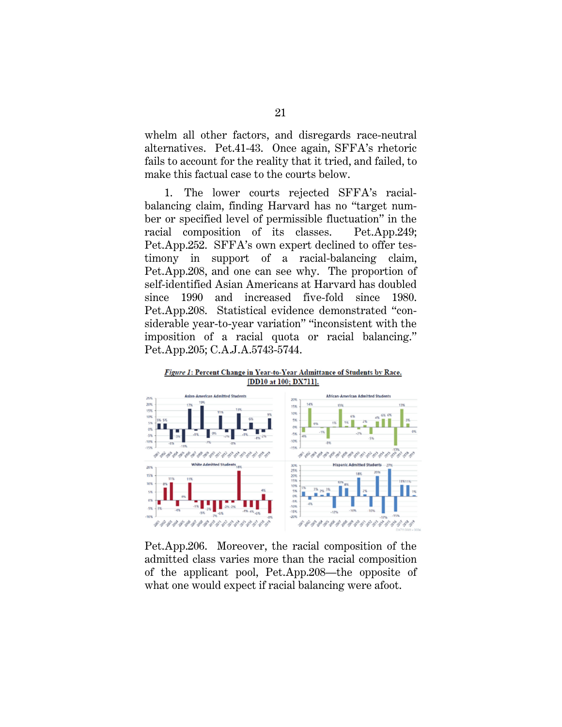whelm all other factors, and disregards race-neutral alternatives. Pet.41-43. Once again, SFFA's rhetoric fails to account for the reality that it tried, and failed, to make this factual case to the courts below.

1. The lower courts rejected SFFA's racialbalancing claim, finding Harvard has no "target number or specified level of permissible fluctuation" in the racial composition of its classes. Pet.App.249; Pet.App.252. SFFA's own expert declined to offer testimony in support of a racial-balancing claim, Pet.App.208, and one can see why. The proportion of self-identified Asian Americans at Harvard has doubled since 1990 and increased five-fold since 1980. Pet.App.208. Statistical evidence demonstrated "considerable year-to-year variation" "inconsistent with the imposition of a racial quota or racial balancing." Pet.App.205; C.A.J.A.5743-5744.



Pet.App.206. Moreover, the racial composition of the admitted class varies more than the racial composition of the applicant pool, Pet.App.208—the opposite of what one would expect if racial balancing were afoot.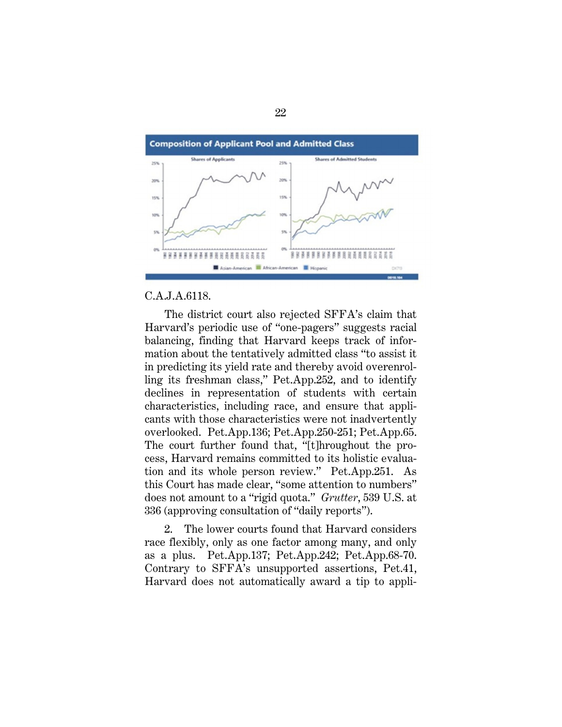

### C.A.J.A.6118.

The district court also rejected SFFA's claim that Harvard's periodic use of "one-pagers" suggests racial balancing, finding that Harvard keeps track of information about the tentatively admitted class "to assist it in predicting its yield rate and thereby avoid overenrolling its freshman class," Pet.App.252, and to identify declines in representation of students with certain characteristics, including race, and ensure that applicants with those characteristics were not inadvertently overlooked. Pet.App.136; Pet.App.250-251; Pet.App.65. The court further found that, "[t]hroughout the process, Harvard remains committed to its holistic evaluation and its whole person review." Pet.App.251. As this Court has made clear, "some attention to numbers" does not amount to a "rigid quota." *Grutter*, 539 U.S. at 336 (approving consultation of "daily reports").

2. The lower courts found that Harvard considers race flexibly, only as one factor among many, and only as a plus. Pet.App.137; Pet.App.242; Pet.App.68-70. Contrary to SFFA's unsupported assertions, Pet.41, Harvard does not automatically award a tip to appli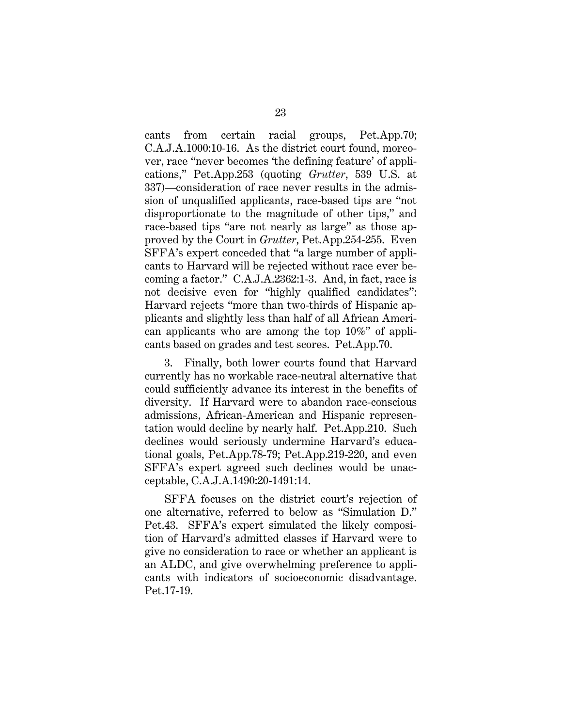cants from certain racial groups, Pet.App.70; C.A.J.A.1000:10-16. As the district court found, moreover, race "never becomes 'the defining feature' of applications," Pet.App.253 (quoting *Grutter*, 539 U.S. at 337)—consideration of race never results in the admission of unqualified applicants, race-based tips are "not disproportionate to the magnitude of other tips," and race-based tips "are not nearly as large" as those approved by the Court in *Grutter*, Pet.App.254-255. Even SFFA's expert conceded that "a large number of applicants to Harvard will be rejected without race ever becoming a factor." C.A.J.A.2362:1-3. And, in fact, race is not decisive even for "highly qualified candidates": Harvard rejects "more than two-thirds of Hispanic applicants and slightly less than half of all African American applicants who are among the top 10%" of applicants based on grades and test scores. Pet.App.70.

3. Finally, both lower courts found that Harvard currently has no workable race-neutral alternative that could sufficiently advance its interest in the benefits of diversity. If Harvard were to abandon race-conscious admissions, African-American and Hispanic representation would decline by nearly half. Pet.App.210. Such declines would seriously undermine Harvard's educational goals, Pet.App.78-79; Pet.App.219-220, and even SFFA's expert agreed such declines would be unacceptable, C.A.J.A.1490:20-1491:14.

SFFA focuses on the district court's rejection of one alternative, referred to below as "Simulation D." Pet.43. SFFA's expert simulated the likely composition of Harvard's admitted classes if Harvard were to give no consideration to race or whether an applicant is an ALDC, and give overwhelming preference to applicants with indicators of socioeconomic disadvantage. Pet.17-19.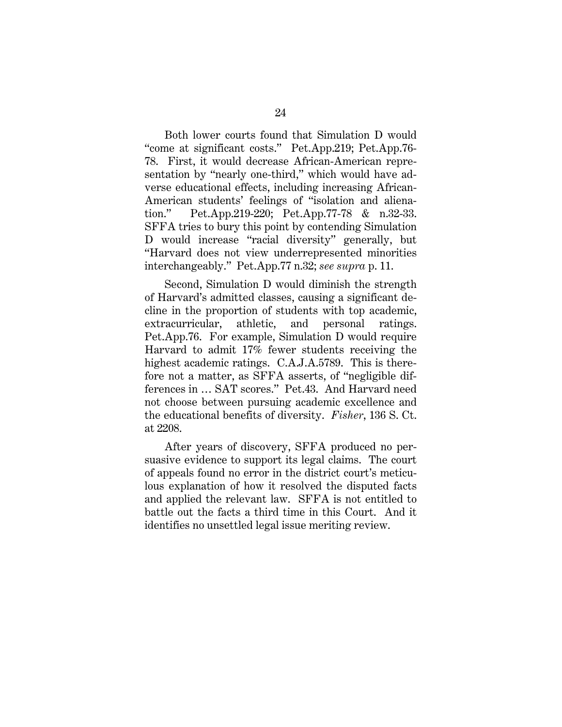Both lower courts found that Simulation D would "come at significant costs." Pet.App.219; Pet.App.76- 78. First, it would decrease African-American representation by "nearly one-third," which would have adverse educational effects, including increasing African-American students' feelings of "isolation and alienation." Pet.App.219-220; Pet.App.77-78 & n.32-33. SFFA tries to bury this point by contending Simulation D would increase "racial diversity" generally, but "Harvard does not view underrepresented minorities interchangeably." Pet.App.77 n.32; *see supra* p. 11.

Second, Simulation D would diminish the strength of Harvard's admitted classes, causing a significant decline in the proportion of students with top academic, extracurricular, athletic, and personal ratings. Pet.App.76. For example, Simulation D would require Harvard to admit 17% fewer students receiving the highest academic ratings. C.A.J.A.5789. This is therefore not a matter, as SFFA asserts, of "negligible differences in … SAT scores." Pet.43. And Harvard need not choose between pursuing academic excellence and the educational benefits of diversity. *Fisher*, 136 S. Ct. at 2208.

After years of discovery, SFFA produced no persuasive evidence to support its legal claims. The court of appeals found no error in the district court's meticulous explanation of how it resolved the disputed facts and applied the relevant law. SFFA is not entitled to battle out the facts a third time in this Court. And it identifies no unsettled legal issue meriting review.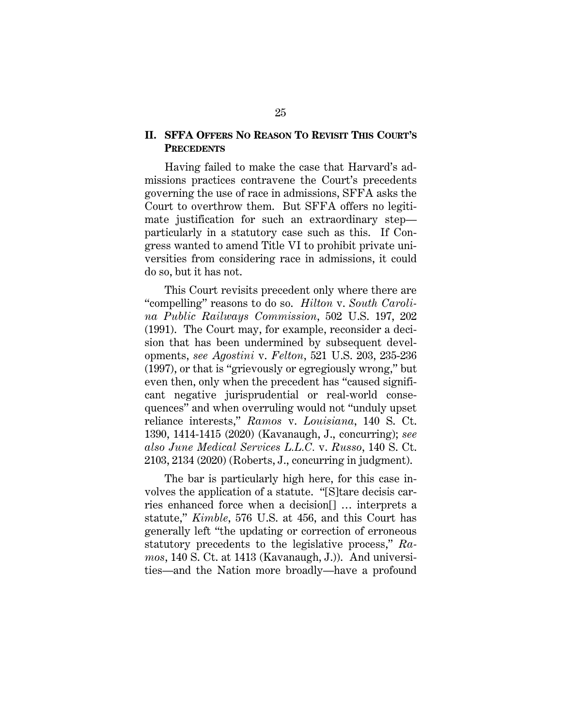### **II. SFFA OFFERS NO REASON TO REVISIT THIS COURT'S PRECEDENTS**

Having failed to make the case that Harvard's admissions practices contravene the Court's precedents governing the use of race in admissions, SFFA asks the Court to overthrow them. But SFFA offers no legitimate justification for such an extraordinary step particularly in a statutory case such as this. If Congress wanted to amend Title VI to prohibit private universities from considering race in admissions, it could do so, but it has not.

This Court revisits precedent only where there are "compelling" reasons to do so. *Hilton* v. *South Carolina Public Railways Commission*, 502 U.S. 197, 202 (1991). The Court may, for example, reconsider a decision that has been undermined by subsequent developments, *see Agostini* v. *Felton*, 521 U.S. 203, 235-236 (1997), or that is "grievously or egregiously wrong," but even then, only when the precedent has "caused significant negative jurisprudential or real-world consequences" and when overruling would not "unduly upset reliance interests," *Ramos* v. *Louisiana*, 140 S. Ct. 1390, 1414-1415 (2020) (Kavanaugh, J., concurring); *see also June Medical Services L.L.C.* v. *Russo*, 140 S. Ct. 2103, 2134 (2020) (Roberts, J., concurring in judgment).

The bar is particularly high here, for this case involves the application of a statute. "[S]tare decisis carries enhanced force when a decision[] … interprets a statute," *Kimble*, 576 U.S. at 456, and this Court has generally left "the updating or correction of erroneous statutory precedents to the legislative process," *Ramos*, 140 S. Ct. at 1413 (Kavanaugh, J.)). And universities—and the Nation more broadly—have a profound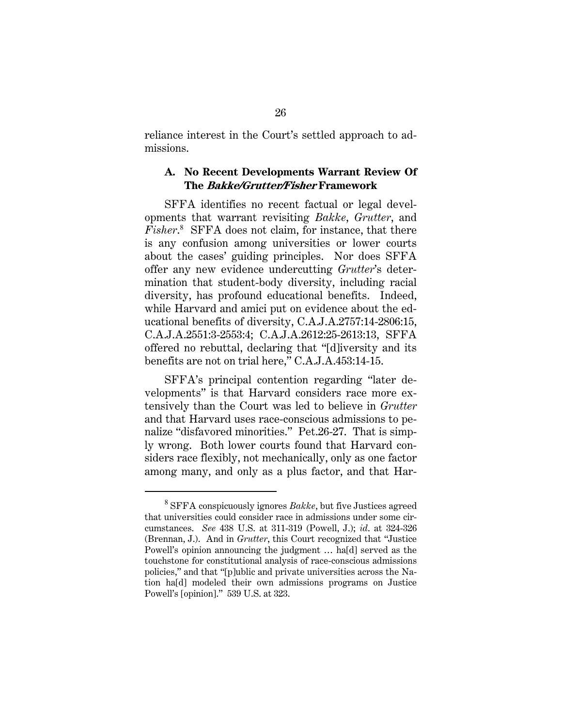reliance interest in the Court's settled approach to admissions.

### **A. No Recent Developments Warrant Review Of The Bakke/Grutter/Fisher Framework**

SFFA identifies no recent factual or legal developments that warrant revisiting *Bakke*, *Grutter*, and *Fisher*. 8 SFFA does not claim, for instance, that there is any confusion among universities or lower courts about the cases' guiding principles. Nor does SFFA offer any new evidence undercutting *Grutter*'s determination that student-body diversity, including racial diversity, has profound educational benefits. Indeed, while Harvard and amici put on evidence about the educational benefits of diversity, C.A.J.A.2757:14-2806:15, C.A.J.A.2551:3-2553:4; C.A.J.A.2612:25-2613:13, SFFA offered no rebuttal, declaring that "[d]iversity and its benefits are not on trial here," C.A.J.A.453:14-15.

SFFA's principal contention regarding "later developments" is that Harvard considers race more extensively than the Court was led to believe in *Grutter* and that Harvard uses race-conscious admissions to penalize "disfavored minorities." Pet.26-27. That is simply wrong. Both lower courts found that Harvard considers race flexibly, not mechanically, only as one factor among many, and only as a plus factor, and that Har-

<sup>8</sup> SFFA conspicuously ignores *Bakke*, but five Justices agreed that universities could consider race in admissions under some circumstances. *See* 438 U.S. at 311-319 (Powell, J.); *id*. at 324-326 (Brennan, J.). And in *Grutter*, this Court recognized that "Justice Powell's opinion announcing the judgment … ha[d] served as the touchstone for constitutional analysis of race-conscious admissions policies," and that "[p]ublic and private universities across the Nation ha[d] modeled their own admissions programs on Justice Powell's [opinion]." 539 U.S. at 323.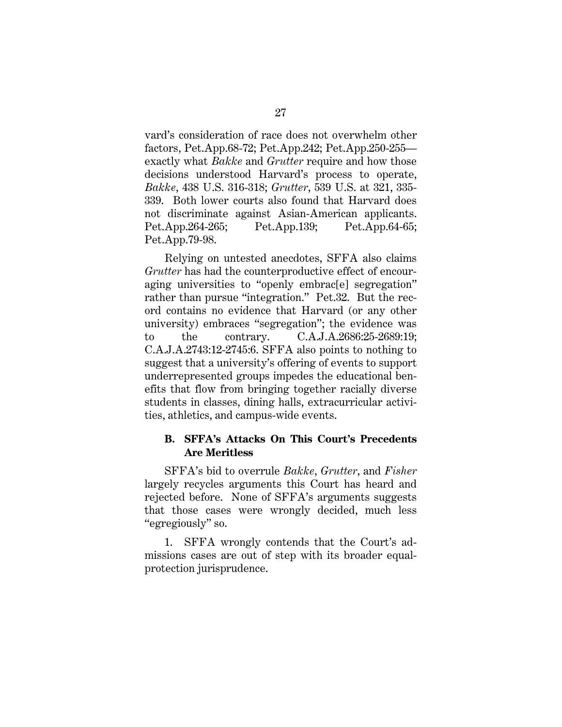vard's consideration of race does not overwhelm other factors, Pet.App.68-72; Pet.App.242; Pet.App.250-255 exactly what *Bakke* and *Grutter* require and how those decisions understood Harvard's process to operate, *Bakke*, 438 U.S. 316-318; *Grutter*, 539 U.S. at 321, 335- 339. Both lower courts also found that Harvard does not discriminate against Asian-American applicants. Pet.App.264-265; Pet.App.139; Pet.App.64-65; Pet.App.79-98.

Relying on untested anecdotes, SFFA also claims *Grutter* has had the counterproductive effect of encouraging universities to "openly embracelel segregation" rather than pursue "integration." Pet.32. But the record contains no evidence that Harvard (or any other university) embraces "segregation"; the evidence was to the contrary. C.A.J.A.2686:25-2689:19; C.A.J.A.2743:12-2745:6. SFFA also points to nothing to suggest that a university's offering of events to support underrepresented groups impedes the educational benefits that flow from bringing together racially diverse students in classes, dining halls, extracurricular activities, athletics, and campus-wide events.

### **B. SFFA's Attacks On This Court's Precedents Are Meritless**

SFFA's bid to overrule *Bakke*, *Grutter*, and *Fisher*  largely recycles arguments this Court has heard and rejected before. None of SFFA's arguments suggests that those cases were wrongly decided, much less "egregiously" so.

1. SFFA wrongly contends that the Court's admissions cases are out of step with its broader equalprotection jurisprudence.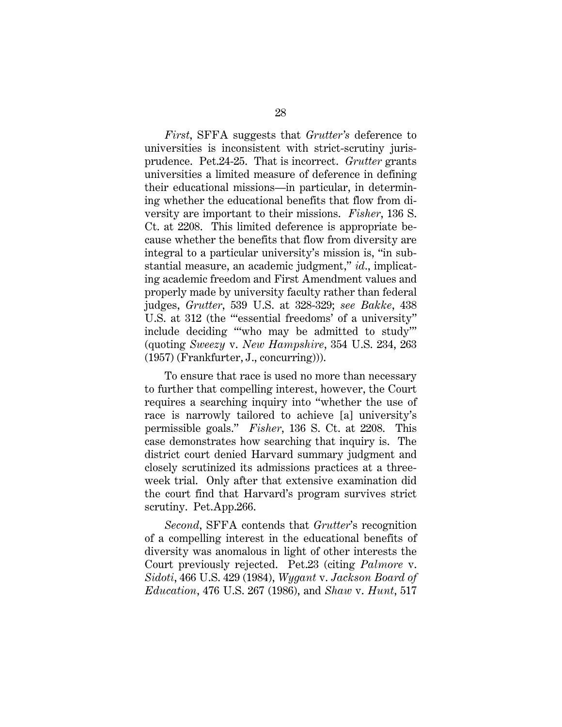*First*, SFFA suggests that *Grutter's* deference to universities is inconsistent with strict-scrutiny jurisprudence. Pet.24-25. That is incorrect. *Grutter* grants universities a limited measure of deference in defining their educational missions—in particular, in determining whether the educational benefits that flow from diversity are important to their missions. *Fisher*, 136 S. Ct. at 2208. This limited deference is appropriate because whether the benefits that flow from diversity are integral to a particular university's mission is, "in substantial measure, an academic judgment," *id*., implicating academic freedom and First Amendment values and properly made by university faculty rather than federal judges, *Grutter*, 539 U.S. at 328-329; *see Bakke*, 438 U.S. at 312 (the "'essential freedoms' of a university" include deciding "'who may be admitted to study'" (quoting *Sweezy* v. *New Hampshire*, 354 U.S. 234, 263 (1957) (Frankfurter, J., concurring))).

To ensure that race is used no more than necessary to further that compelling interest, however, the Court requires a searching inquiry into "whether the use of race is narrowly tailored to achieve [a] university's permissible goals." *Fisher*, 136 S. Ct. at 2208. This case demonstrates how searching that inquiry is. The district court denied Harvard summary judgment and closely scrutinized its admissions practices at a threeweek trial. Only after that extensive examination did the court find that Harvard's program survives strict scrutiny. Pet.App.266.

*Second*, SFFA contends that *Grutter*'s recognition of a compelling interest in the educational benefits of diversity was anomalous in light of other interests the Court previously rejected. Pet.23 (citing *Palmore* v. *Sidoti*, 466 U.S. 429 (1984), *Wygant* v. *Jackson Board of Education*, 476 U.S. 267 (1986), and *Shaw* v. *Hunt*, 517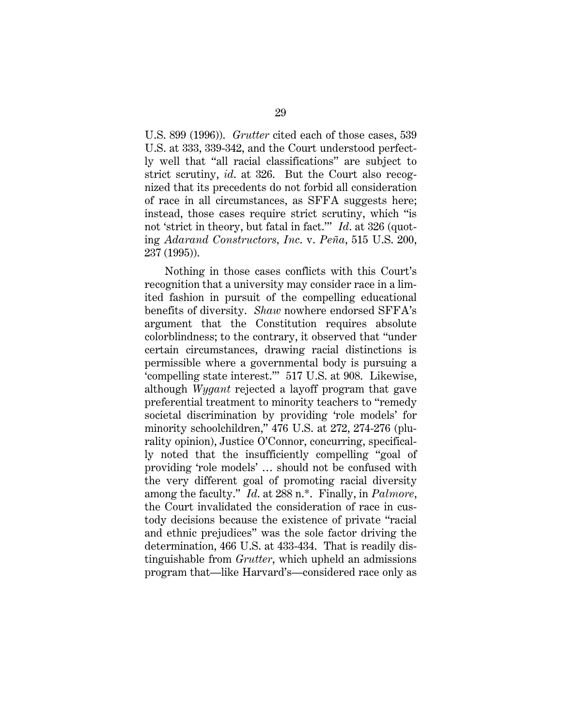U.S. 899 (1996)). *Grutter* cited each of those cases, 539 U.S. at 333, 339-342, and the Court understood perfectly well that "all racial classifications" are subject to strict scrutiny, *id*. at 326. But the Court also recognized that its precedents do not forbid all consideration of race in all circumstances, as SFFA suggests here; instead, those cases require strict scrutiny, which "is not 'strict in theory, but fatal in fact.'" *Id*. at 326 (quoting *Adarand Constructors, Inc*. v. *Peña*, 515 U.S. 200, 237 (1995)).

Nothing in those cases conflicts with this Court's recognition that a university may consider race in a limited fashion in pursuit of the compelling educational benefits of diversity. *Shaw* nowhere endorsed SFFA's argument that the Constitution requires absolute colorblindness; to the contrary, it observed that "under certain circumstances, drawing racial distinctions is permissible where a governmental body is pursuing a 'compelling state interest.'" 517 U.S. at 908. Likewise, although *Wygant* rejected a layoff program that gave preferential treatment to minority teachers to "remedy societal discrimination by providing 'role models' for minority schoolchildren," 476 U.S. at 272, 274-276 (plurality opinion), Justice O'Connor, concurring, specifically noted that the insufficiently compelling "goal of providing 'role models' … should not be confused with the very different goal of promoting racial diversity among the faculty." *Id*. at 288 n.\*. Finally, in *Palmore*, the Court invalidated the consideration of race in custody decisions because the existence of private "racial and ethnic prejudices" was the sole factor driving the determination, 466 U.S. at 433-434. That is readily distinguishable from *Grutter*, which upheld an admissions program that—like Harvard's—considered race only as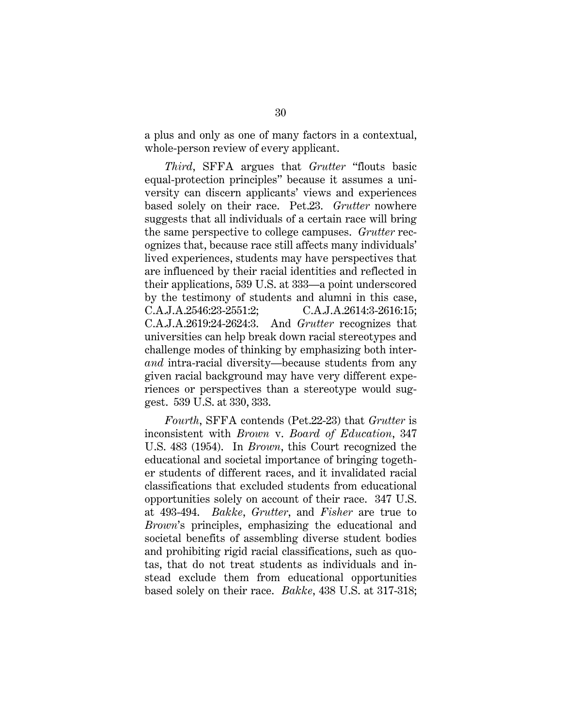a plus and only as one of many factors in a contextual, whole-person review of every applicant.

*Third*, SFFA argues that *Grutter* "flouts basic equal-protection principles" because it assumes a university can discern applicants' views and experiences based solely on their race. Pet.23. *Grutter* nowhere suggests that all individuals of a certain race will bring the same perspective to college campuses. *Grutter* recognizes that, because race still affects many individuals' lived experiences, students may have perspectives that are influenced by their racial identities and reflected in their applications, 539 U.S. at 333—a point underscored by the testimony of students and alumni in this case, C.A.J.A.2546:23-2551:2; C.A.J.A.2614:3-2616:15; C.A.J.A.2619:24-2624:3. And *Grutter* recognizes that universities can help break down racial stereotypes and challenge modes of thinking by emphasizing both inter*and* intra-racial diversity—because students from any given racial background may have very different experiences or perspectives than a stereotype would suggest. 539 U.S. at 330, 333.

*Fourth*, SFFA contends (Pet.22-23) that *Grutter* is inconsistent with *Brown* v. *Board of Education*, 347 U.S. 483 (1954). In *Brown*, this Court recognized the educational and societal importance of bringing together students of different races, and it invalidated racial classifications that excluded students from educational opportunities solely on account of their race. 347 U.S. at 493-494. *Bakke*, *Grutter*, and *Fisher* are true to *Brown*'s principles, emphasizing the educational and societal benefits of assembling diverse student bodies and prohibiting rigid racial classifications, such as quotas, that do not treat students as individuals and instead exclude them from educational opportunities based solely on their race. *Bakke*, 438 U.S. at 317-318;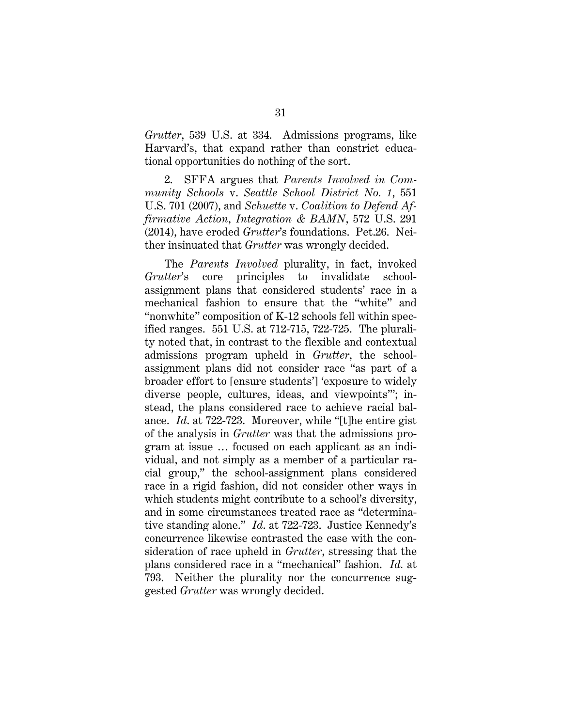*Grutter*, 539 U.S. at 334. Admissions programs, like Harvard's, that expand rather than constrict educational opportunities do nothing of the sort.

2. SFFA argues that *Parents Involved in Community Schools* v. *Seattle School District No. 1*, 551 U.S. 701 (2007), and *Schuette* v. *Coalition to Defend Affirmative Action*, *Integration & BAMN*, 572 U.S. 291 (2014), have eroded *Grutter*'s foundations. Pet.26. Neither insinuated that *Grutter* was wrongly decided.

The *Parents Involved* plurality, in fact, invoked *Grutter*'s core principles to invalidate schoolassignment plans that considered students' race in a mechanical fashion to ensure that the "white" and "nonwhite" composition of K-12 schools fell within specified ranges. 551 U.S. at 712-715, 722-725. The plurality noted that, in contrast to the flexible and contextual admissions program upheld in *Grutter*, the schoolassignment plans did not consider race "as part of a broader effort to [ensure students'] 'exposure to widely diverse people, cultures, ideas, and viewpoints'"; instead, the plans considered race to achieve racial balance. *Id*. at 722-723. Moreover, while "[t]he entire gist of the analysis in *Grutter* was that the admissions program at issue … focused on each applicant as an individual, and not simply as a member of a particular racial group," the school-assignment plans considered race in a rigid fashion, did not consider other ways in which students might contribute to a school's diversity, and in some circumstances treated race as "determinative standing alone." *Id*. at 722-723. Justice Kennedy's concurrence likewise contrasted the case with the consideration of race upheld in *Grutter*, stressing that the plans considered race in a "mechanical" fashion. *Id.* at 793. Neither the plurality nor the concurrence suggested *Grutter* was wrongly decided.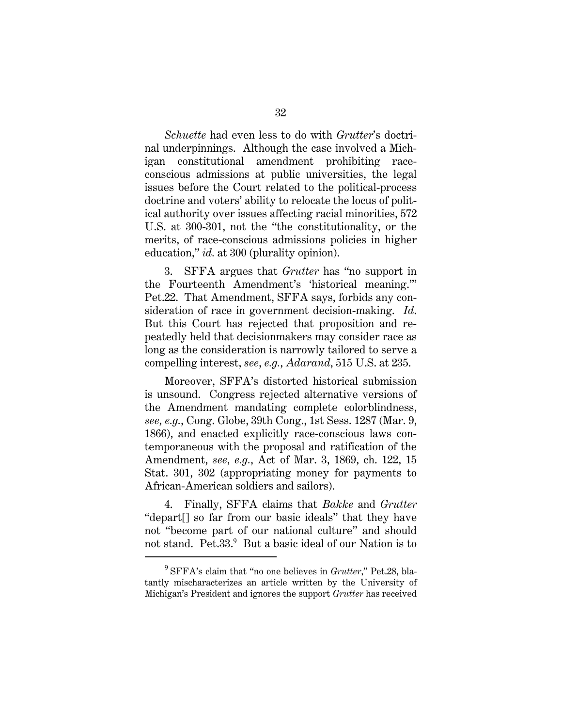*Schuette* had even less to do with *Grutter*'s doctrinal underpinnings. Although the case involved a Michigan constitutional amendment prohibiting raceconscious admissions at public universities, the legal issues before the Court related to the political-process doctrine and voters' ability to relocate the locus of political authority over issues affecting racial minorities, 572 U.S. at 300-301, not the "the constitutionality, or the merits, of race-conscious admissions policies in higher education," *id.* at 300 (plurality opinion).

3. SFFA argues that *Grutter* has "no support in the Fourteenth Amendment's 'historical meaning.'" Pet.22. That Amendment, SFFA says, forbids any consideration of race in government decision-making. *Id*. But this Court has rejected that proposition and repeatedly held that decisionmakers may consider race as long as the consideration is narrowly tailored to serve a compelling interest, *see*, *e.g.*, *Adarand*, 515 U.S. at 235.

Moreover, SFFA's distorted historical submission is unsound. Congress rejected alternative versions of the Amendment mandating complete colorblindness, *see, e.g.*, Cong. Globe, 39th Cong., 1st Sess. 1287 (Mar. 9, 1866), and enacted explicitly race-conscious laws contemporaneous with the proposal and ratification of the Amendment, *see, e.g.*, Act of Mar. 3, 1869, ch. 122, 15 Stat. 301, 302 (appropriating money for payments to African-American soldiers and sailors).

4. Finally, SFFA claims that *Bakke* and *Grutter* "depart[] so far from our basic ideals" that they have not "become part of our national culture" and should not stand. Pet.33.<sup>9</sup> But a basic ideal of our Nation is to

<sup>9</sup> SFFA's claim that "no one believes in *Grutter*," Pet.28, blatantly mischaracterizes an article written by the University of Michigan's President and ignores the support *Grutter* has received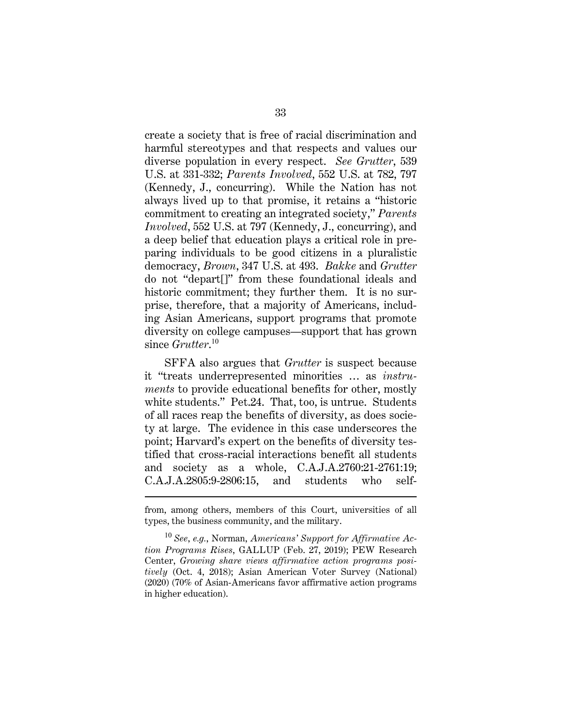create a society that is free of racial discrimination and harmful stereotypes and that respects and values our diverse population in every respect. *See Grutter*, 539 U.S. at 331-332; *Parents Involved*, 552 U.S. at 782, 797 (Kennedy, J., concurring). While the Nation has not always lived up to that promise, it retains a "historic commitment to creating an integrated society," *Parents Involved*, 552 U.S. at 797 (Kennedy, J., concurring), and a deep belief that education plays a critical role in preparing individuals to be good citizens in a pluralistic democracy, *Brown*, 347 U.S. at 493. *Bakke* and *Grutter* do not "depart[]" from these foundational ideals and historic commitment; they further them. It is no surprise, therefore, that a majority of Americans, including Asian Americans, support programs that promote diversity on college campuses—support that has grown since *Grutter*. 10

SFFA also argues that *Grutter* is suspect because it "treats underrepresented minorities … as *instruments* to provide educational benefits for other, mostly white students." Pet.24. That, too, is untrue. Students of all races reap the benefits of diversity, as does society at large. The evidence in this case underscores the point; Harvard's expert on the benefits of diversity testified that cross-racial interactions benefit all students and society as a whole, C.A.J.A.2760:21-2761:19; C.A.J.A.2805:9-2806:15, and students who self-

from, among others, members of this Court, universities of all types, the business community, and the military.

<sup>10</sup> *See*, *e.g.*, Norman, *Americans' Support for Affirmative Action Programs Rises*, GALLUP (Feb. 27, 2019); PEW Research Center, *Growing share views affirmative action programs positively* (Oct. 4, 2018); Asian American Voter Survey (National) (2020) (70% of Asian-Americans favor affirmative action programs in higher education).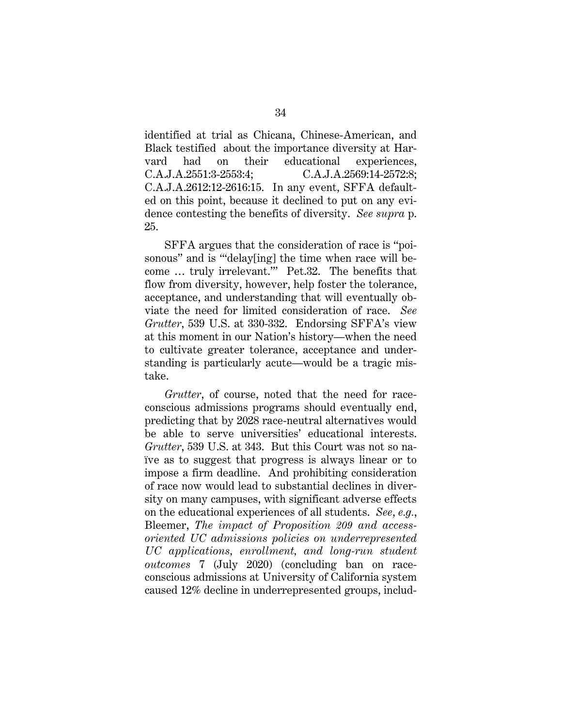identified at trial as Chicana, Chinese-American, and Black testified about the importance diversity at Harvard had on their educational experiences, C.A.J.A.2551:3-2553:4; C.A.J.A.2569:14-2572:8; C.A.J.A.2612:12-2616:15. In any event, SFFA defaulted on this point, because it declined to put on any evidence contesting the benefits of diversity. *See supra* p. 25.

SFFA argues that the consideration of race is "poisonous" and is ""delay[ing] the time when race will become … truly irrelevant.'" Pet.32. The benefits that flow from diversity, however, help foster the tolerance, acceptance, and understanding that will eventually obviate the need for limited consideration of race. *See Grutter*, 539 U.S. at 330-332. Endorsing SFFA's view at this moment in our Nation's history—when the need to cultivate greater tolerance, acceptance and understanding is particularly acute—would be a tragic mistake.

*Grutter*, of course, noted that the need for raceconscious admissions programs should eventually end, predicting that by 2028 race-neutral alternatives would be able to serve universities' educational interests. *Grutter*, 539 U.S. at 343. But this Court was not so naïve as to suggest that progress is always linear or to impose a firm deadline. And prohibiting consideration of race now would lead to substantial declines in diversity on many campuses, with significant adverse effects on the educational experiences of all students. *See*, *e.g.*, Bleemer, *The impact of Proposition 209 and accessoriented UC admissions policies on underrepresented UC applications, enrollment, and long-run student outcomes* 7 (July 2020) (concluding ban on raceconscious admissions at University of California system caused 12% decline in underrepresented groups, includ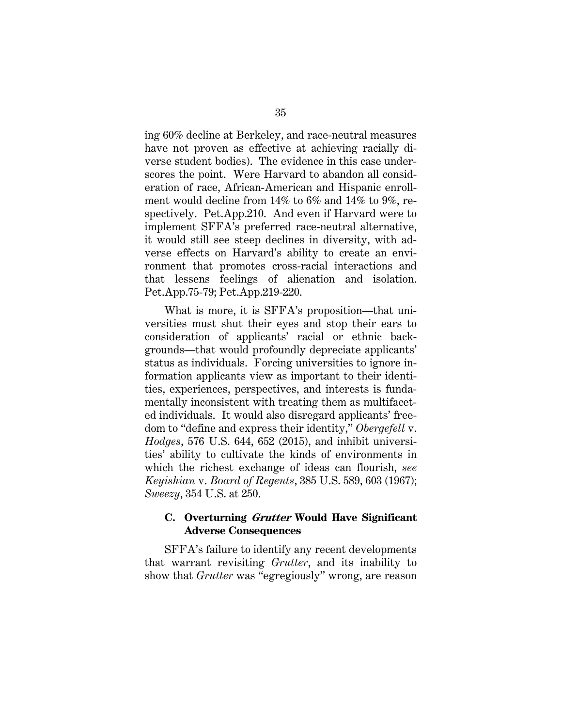ing 60% decline at Berkeley, and race-neutral measures have not proven as effective at achieving racially diverse student bodies). The evidence in this case underscores the point. Were Harvard to abandon all consideration of race, African-American and Hispanic enrollment would decline from 14% to 6% and 14% to 9%, respectively. Pet.App.210. And even if Harvard were to implement SFFA's preferred race-neutral alternative, it would still see steep declines in diversity, with adverse effects on Harvard's ability to create an environment that promotes cross-racial interactions and that lessens feelings of alienation and isolation. Pet.App.75-79; Pet.App.219-220.

What is more, it is SFFA's proposition—that universities must shut their eyes and stop their ears to consideration of applicants' racial or ethnic backgrounds—that would profoundly depreciate applicants' status as individuals. Forcing universities to ignore information applicants view as important to their identities, experiences, perspectives, and interests is fundamentally inconsistent with treating them as multifaceted individuals. It would also disregard applicants' freedom to "define and express their identity," *Obergefell* v. *Hodges*, 576 U.S. 644, 652 (2015), and inhibit universities' ability to cultivate the kinds of environments in which the richest exchange of ideas can flourish, *see Keyishian* v. *Board of Regents*, 385 U.S. 589, 603 (1967); *Sweezy*, 354 U.S. at 250.

### **C. Overturning Grutter Would Have Significant Adverse Consequences**

SFFA's failure to identify any recent developments that warrant revisiting *Grutter*, and its inability to show that *Grutter* was "egregiously" wrong, are reason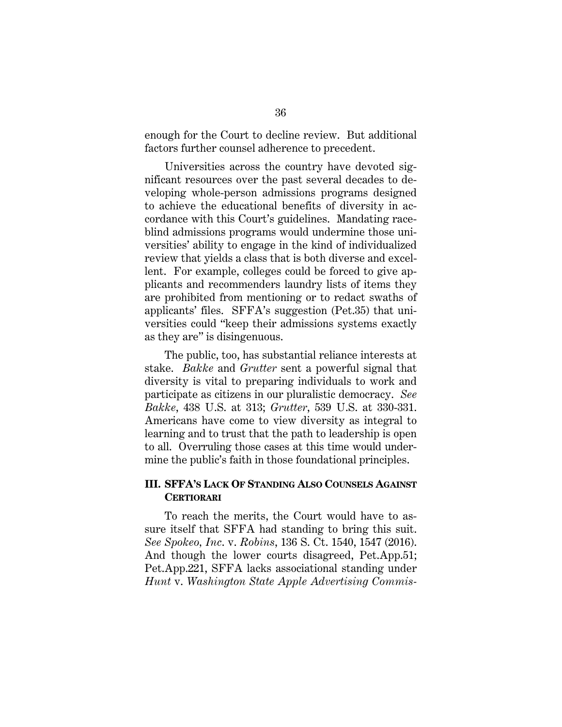enough for the Court to decline review. But additional factors further counsel adherence to precedent.

Universities across the country have devoted significant resources over the past several decades to developing whole-person admissions programs designed to achieve the educational benefits of diversity in accordance with this Court's guidelines. Mandating raceblind admissions programs would undermine those universities' ability to engage in the kind of individualized review that yields a class that is both diverse and excellent. For example, colleges could be forced to give applicants and recommenders laundry lists of items they are prohibited from mentioning or to redact swaths of applicants' files. SFFA's suggestion (Pet.35) that universities could "keep their admissions systems exactly as they are" is disingenuous.

The public, too, has substantial reliance interests at stake. *Bakke* and *Grutter* sent a powerful signal that diversity is vital to preparing individuals to work and participate as citizens in our pluralistic democracy. *See Bakke*, 438 U.S. at 313; *Grutter*, 539 U.S. at 330-331. Americans have come to view diversity as integral to learning and to trust that the path to leadership is open to all. Overruling those cases at this time would undermine the public's faith in those foundational principles.

### **III. SFFA'S LACK OF STANDING ALSO COUNSELS AGAINST CERTIORARI**

To reach the merits, the Court would have to assure itself that SFFA had standing to bring this suit. *See Spokeo, Inc*. v. *Robins*, 136 S. Ct. 1540, 1547 (2016). And though the lower courts disagreed, Pet.App.51; Pet.App.221, SFFA lacks associational standing under *Hunt* v. *Washington State Apple Advertising Commis-*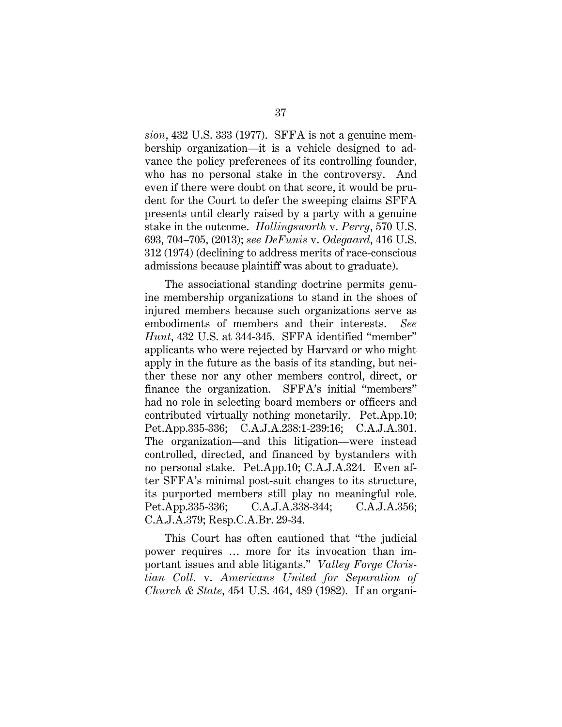*sion*, 432 U.S. 333 (1977). SFFA is not a genuine membership organization—it is a vehicle designed to advance the policy preferences of its controlling founder, who has no personal stake in the controversy. And even if there were doubt on that score, it would be prudent for the Court to defer the sweeping claims SFFA presents until clearly raised by a party with a genuine stake in the outcome. *Hollingsworth* v. *Perry*, 570 U.S. 693, 704–705, (2013); *see DeFunis* v. *Odegaard*, 416 U.S. 312 (1974) (declining to address merits of race-conscious admissions because plaintiff was about to graduate).

The associational standing doctrine permits genuine membership organizations to stand in the shoes of injured members because such organizations serve as embodiments of members and their interests. *See Hunt*, 432 U.S. at 344-345. SFFA identified "member" applicants who were rejected by Harvard or who might apply in the future as the basis of its standing, but neither these nor any other members control, direct, or finance the organization. SFFA's initial "members" had no role in selecting board members or officers and contributed virtually nothing monetarily. Pet.App.10; Pet.App.335-336; C.A.J.A.238:1-239:16; C.A.J.A.301. The organization—and this litigation—were instead controlled, directed, and financed by bystanders with no personal stake. Pet.App.10; C.A.J.A.324. Even after SFFA's minimal post-suit changes to its structure, its purported members still play no meaningful role. Pet.App.335-336; C.A.J.A.338-344; C.A.J.A.356; C.A.J.A.379; Resp.C.A.Br. 29-34.

This Court has often cautioned that "the judicial power requires … more for its invocation than important issues and able litigants." *Valley Forge Christian Coll*. v. *Americans United for Separation of Church & State*, 454 U.S. 464, 489 (1982). If an organi